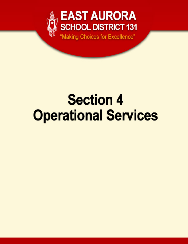

# **Section 4 Operational Services**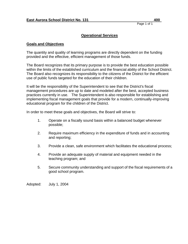# **Operational Services**

#### **Goals and Objectives**

The quantity and quality of learning programs are directly dependent on the funding provided and the effective, efficient management of those funds.

The Board recognizes that its primary purpose is to provide the best education possible within the limits of the established curriculum and the financial ability of the School District. The Board also recognizes its responsibility to the citizens of the District for the efficient use of public funds targeted for the education of their children.

It will be the responsibility of the Superintendent to see that the District's fiscal management procedures are up to date and modeled after the best, accepted business practices currently in use. The Superintendent is also responsible for establishing and implementing fiscal management goals that provide for a modern, continually-improving educational program for the children of the District.

In order to meet these goals and objectives, the Board will strive to:

- 1. Operate on a fiscally sound basis within a balanced budget whenever possible;
- 2. Require maximum efficiency in the expenditure of funds and in accounting and reporting;
- 3. Provide a clean, safe environment which facilitates the educational process;
- 4. Provide an adequate supply of material and equipment needed in the teaching program; and
- 5. Secure community understanding and support of the fiscal requirements of a good school program.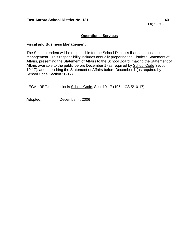# **Operational Services**

#### **Fiscal and Business Management**

The Superintendent will be responsible for the School District's fiscal and business management. This responsibility includes annually preparing the District's Statement of Affairs, presenting the Statement of Affairs to the School Board, making the Statement of Affairs available to the public before December 1 (as required by School Code Section 10-17), and publishing the Statement of Affairs before December 1 (as required by School Code Section 10-17).

LEGAL REF.: Illinois School Code, Sec. 10-17 (105 ILCS 5/10-17)

Adopted: December 4, 2006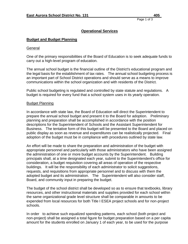# **Operational Services**

#### **Budget and Budget Planning**

#### **General**

One of the primary responsibilities of the Board of Education is to seek adequate funds to carry out a high-level program of education.

The annual school budget is the financial outline of the District's educational program and the legal basis for the establishment of tax rates. The annual school budgeting process is an important part of School District operations and should serve as a means to improve communications within the school organization and with residents of the District.

Public school budgeting is regulated and controlled by state statute and regulations. A budget is required for every fund that a school system uses in its yearly operation.

#### Budget Planning

In accordance with state law, the Board of Education will direct the Superintendent to prepare the annual school budget and present it to the Board for adoption. Preliminary planning and preparation shall be accomplished in accordance with the position descriptions for the Superintendent of Schools and the Assistant Superintendent for Business. The tentative form of this budget will be presented to the Board and placed on public display as soon as revenue and expenditures can be realistically projected. Final adoption of the budget must be in compliance with procedures outlined by state law.

An effort will be made to share the preparation and administration of the budget with appropriate personnel and particularly with those administrators who have been assigned the administration of one or more budget accounts by the Superintendent. Building principals shall, at a time designated each year, submit to the Superintendent's office for consideration, a budget requisition covering all areas of operation of the respective buildings. It will be the responsibility of each administrator to solicit suggestions, requests, and requisitions from appropriate personnel and to discuss with them the adopted budget and its administration. The Superintendent will also consider staff, Board, and community input in preparing the budget.

The budget of the school district shall be developed so as to ensure that textbooks, library resources, and other instructional materials and supplies provided for each school within the same organizational grade level structure shall be comparable in amounts to be expended from local resources for both Title I ESEA project schools and for non-project schools.

In order to achieve such equalized spending patterns, each school (both project and non-project) shall be assigned a total figure for budget preparation based on a per capita amount for the students enrolled on January 1 of each year, to be used for the purpose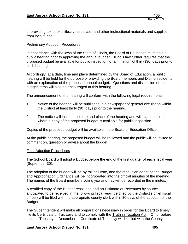of providing textbooks, library resources, and other instructional materials and supplies from local funds.

#### Preliminary Adoption Procedures

In accordance with the laws of the State of Illinois, the Board of Education must hold a public hearing prior to approving the annual budget. Illinois law further requires that the proposed budget be available for public inspection for a minimum of thirty (30) days prior to such hearing.

Accordingly, at a date, time and place determined by the Board of Education, a public hearing will be held for the purpose of providing the Board members and District residents with an explanation of the proposed annual budget. Questions and discussion of the budget items will also be encouraged at this hearing.

The announcement of the hearing will conform with the following legal requirements:

- 1. Notice of the hearing will be published in a newspaper of general circulation within the District at least thirty (30) days prior to the hearing.
- 2. The notice will include the time and place of the hearing and will state the place where a copy of the proposed budget is available for public inspection.

Copies of the proposed budget will be available in the Board of Education Office.

At the public hearing, the proposed budget will be reviewed and the public will be invited to comment on, question or advise about the budget.

#### Final Adoption Procedures

The School Board will adopt a Budget before the end of the first quarter of each fiscal year (September 30).

The adoption of the budget will be by roll call vote, and the resolution adopting the Budget and Appropriation Ordinance will be incorporated into the official minutes of the meeting. The names of the Board members voting yea and nay will be recorded in the minutes.

A certified copy of the Budget resolution and an Estimate of Revenues by source anticipated to be received in the following fiscal year (certified by the District's chief fiscal officer) will be filed with the appropriate county clerk within 30 days of the adoption of the Budget.

The Superintendent will make all preparations necessary in order for the Board to timely file its Certificate of Tax Levy and to comply with the Truth in Taxation Act. On or before the last Tuesday in December, a Certificate of Tax Levy will be filed with the County

#### **East Aurora School District No. 131 405**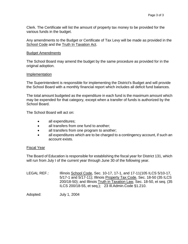Clerk. The Certificate will list the amount of property tax money to be provided for the various funds in the budget.

Any amendments to the Budget or Certificate of Tax Levy will be made as provided in the School Code and the Truth In Taxation Act.

#### Budget Amendments

The School Board may amend the budget by the same procedure as provided for in the original adoption.

#### Implementation

The Superintendent is responsible for implementing the District's Budget and will provide the School Board with a monthly financial report which includes all deficit fund balances.

The total amount budgeted as the expenditure in each fund is the maximum amount which may be expended for that category, except when a transfer of funds is authorized by the School Board.

The School Board will act on:

- all expenditures;
- all transfers from one fund to another:
- all transfers from one program to another;
- all expenditures which are to be charged to a contingency account, if such an account exists.

#### Fiscal Year

The Board of Education is responsible for establishing the fiscal year for District 131, which will run from July I of the current year through June 30 of the following year.

LEGAL REF.: Illinois School Code, Sec. 10-17, 17-1, and 17-11(105 ILCS 5/10-17, 5/17-1 and 5/17-11); Illinois Property Tax Code, Sec. 18-50 (35 ILCS 200/18-50); and Illinois Truth in Taxation Law, Sec. 18-50, et seq. (35 ILCS 200/18-55, et seq.); 23 Ill.Admin.Code §1.210.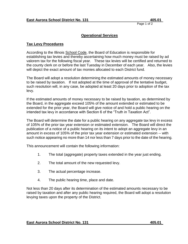# **Operational Services**

# **Tax Levy Procedures**

According to the Illinois School Code, the Board of Education is responsible for establishing tax levies and thereby ascertaining how much money must be raised by ad valorem tax for the following fiscal year. These tax levies will be certified and returned to the county clerk on or before the last Tuesday in December of each year. Also, the levies will depict the exact amount of tax monies allocated to each District fund.

The Board will adopt a resolution determining the estimated amounts of money necessary to be raised by taxation. If not adopted at the time of approval of the tentative budget, such resolution will, in any case, be adopted at least 20 days prior to adoption of the tax levy.

If the estimated amounts of money necessary to be raised by taxation, as determined by the Board, in the aggregate exceed 105% of the amount extended or estimated to be extended for the prior year, the Board will give notice of and hold a public hearing on the intended tax levy in accordance with Section 6 of the "Truth in Taxation Act".

The Board will determine the date for a public hearing on any aggregate tax levy in excess of 105% of the prior tax year extension or estimated extension. The Board will direct the publication of a notice of a public hearing on its intent to adopt an aggregate levy in an amount in excess of 105% of the prior tax year extension or estimated extension -- with such notice appearing no more than 14 nor less than 7 days prior to the date of the hearing.

This announcement will contain the following information:

- 1. The total (aggregate) property taxes extended in the year just ending.
- 2. The total amount of the new requested levy.
- 3. The actual percentage increase.
- 4. The public hearing time, place and date.

Not less than 20 days after its determination of the estimated amounts necessary to be raised by taxation and after any public hearing required, the Board will adopt a resolution levying taxes upon the property of the District.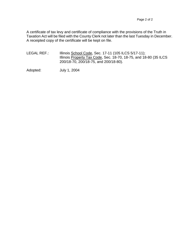A certificate of tax levy and certificate of compliance with the provisions of the Truth in Taxation Act will be filed with the County Clerk not later than the last Tuesday in December. A receipted copy of the certificate will be kept on file.

LEGAL REF.: Illinois School Code, Sec. 17-11 (105 ILCS 5/17-11); Illinois Property Tax Code, Sec. 18-70, 18-75, and 18-80 (35 ILCS 200/18-70, 200/18-75, and 200/18-80).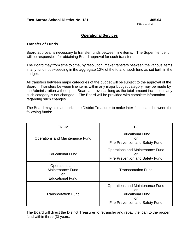# **Operational Services**

# **Transfer of Funds**

Board approval is necessary to transfer funds between line items. The Superintendent will be responsible for obtaining Board approval for such transfers.

The Board may from time to time, by resolution, make transfers between the various items in any fund not exceeding in the aggregate 10% of the total of such fund as set forth in the budget.

All transfers between major categories of the budget will be subject to the approval of the Board. Transfers between line items within any major budget category may be made by the Administration without prior Board approval as long as the total amount included in any such category is not changed. The Board will be provided with complete information regarding such changes.

The Board may also authorize the District Treasurer to make inter-fund loans between the following funds:

| <b>FROM</b>                                                                | TO                                                                                                        |
|----------------------------------------------------------------------------|-----------------------------------------------------------------------------------------------------------|
| Operations and Maintenance Fund                                            | <b>Educational Fund</b><br>or<br>Fire Prevention and Safety Fund                                          |
| <b>Educational Fund</b>                                                    | Operations and Maintenance Fund<br>or<br>Fire Prevention and Safety Fund                                  |
| Operations and<br><b>Maintenance Fund</b><br>or<br><b>Educational Fund</b> | <b>Transportation Fund</b>                                                                                |
| <b>Transportation Fund</b>                                                 | Operations and Maintenance Fund<br>or<br><b>Educational Fund</b><br>or<br>Fire Prevention and Safety Fund |

The Board will direct the District Treasurer to retransfer and repay the loan to the proper fund within three (3) years.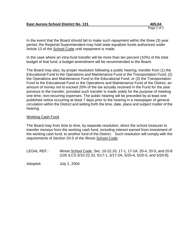In the event that the Board should fail to make such repayment within the three (3) year period, the Regional Superintendent may hold state equalizer funds authorized under Article 13 of the School Code until repayment is made.

In the case where an intra-fund transfer will be more than ten percent (10%) of the total budget of that fund, a budget amendment will be recommended to the Board.

The Board may also, by proper resolution following a public hearing, transfer from (1) the Educational Fund to the Operations and Maintenance Fund or the Transportation Fund, (2) the Operations and Maintenance Fund to the Educational Fund, or (3) the Transportation Fund to the Educational Fund or the Operations and Maintenance Fund of the District, an amount of money not to exceed 20% of the tax actually received in the Fund for the year previous to the transfer, provided such transfer is made solely for the purpose of meeting one-time, non-recurring expenses. The public hearing will be preceded by at least one published notice occurring at least 7 days prior to the hearing in a newspaper of general circulation within the District and setting forth the time, date, place and subject matter of the hearing.

#### Working Cash Fund

The Board may from time to time, by separate resolution, direct the school treasurer to transfer moneys from the working cash fund, including interest earned from investment of the working cash fund, to another fund of the District. Such resolution will comply with the requirements of Section 20-5 of the Illinois School Code.

LEGAL REF.: Illinois School Code, Sec. 10-22.33, 17-1, 17-2A, 20-4, 20-5, and 20-8 (105 ILCS 5/10-22.33, 5/17-1, 5/17-2A, 5/20-4, 5/20-5, and 5/20-8).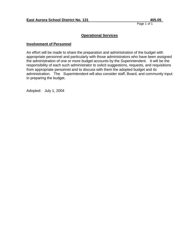# **Operational Services**

#### **Involvement of Personnel**

An effort will be made to share the preparation and administration of the budget with appropriate personnel and particularly with those administrators who have been assigned the administration of one or more budget accounts by the Superintendent. It will be the responsibility of each such administrator to solicit suggestions, requests, and requisitions from appropriate personnel and to discuss with them the adopted budget and its administration. The Superintendent will also consider staff, Board, and community input in preparing the budget.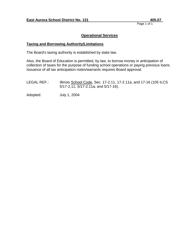# **Operational Services**

#### **Taxing and Borrowing Authority/Limitations**

The Board's taxing authority is established by state law.

Also, the Board of Education is permitted, by law, to borrow money in anticipation of collection of taxes for the purpose of funding school operations or paying previous loans. Issuance of all tax anticipation notes/warrants requires Board approval.

LEGAL REF.: Illinois School Code, Sec. 17-2.11, 17-2.11a, and 17-16 (105 ILCS 5/17-2.11, 5/17-2.11a, and 5/17-16).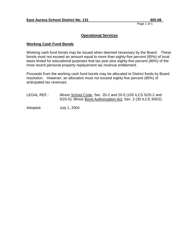# **Operational Services**

#### **Working Cash Fund Bonds**

Working cash fund bonds may be issued when deemed necessary by the Board. These bonds must not exceed an amount equal to more than eighty-five percent (85%) of local taxes levied for educational purposes that tax year plus eighty-five percent (85%) of the most recent personal property replacement tax revenue entitlement.

Proceeds from the working cash fund bonds may be allocated to District funds by Board resolution. However, an allocation must not exceed eighty-five percent (85%) of anticipated tax revenues.

LEGAL REF.: Illinois School Code, Sec. 20-2 and 20-5 (105 ILCS 5/20-2 and 5/20-5); Illinois Bond Authorization Act, Sec. 2 (30 ILCS 305/2).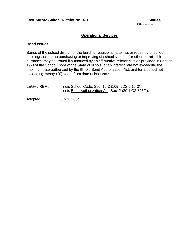# **Operational Services**

#### **Bond Issues**

Bonds of the school district for the building, equipping, altering, or repairing of school buildings, or for the purchasing or improving of school sites, or for other permissible purposes, may be issued if authorized by an affirmative referendum as provided in Section 19-3 of the School Code of the State of Illinois, at an interest rate not exceeding the maximum rate authorized by the Illinois Bond Authorization Act, and for a period not exceeding twenty (20) years from date of issuance.

| LEGAL REF.: | Illinois School Code, Sec. 19-3 (105 ILCS 5/19-3);       |
|-------------|----------------------------------------------------------|
|             | Illinois Bond Authorization Act, Sec. 2 (30 ILCS 305/2). |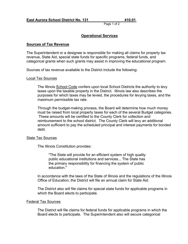# **Operational Services**

#### **Sources of Tax Revenue**

The Superintendent or a designee is responsible for making all claims for property tax revenue, State Aid, special state funds for specific programs, federal funds, and categorical grants when such grants may assist in improving the educational program.

Sources of tax revenue available to the District include the following:

#### Local Tax Sources

The Illinois School Code confers upon local School Districts the authority to levy taxes upon the taxable property in the District. Illinois law also describes the purposes for which taxes may be levied, the procedures for levying taxes, and the maximum permissible tax rate.

Through the budget-making process, the Board will determine how much money must be raised from local property taxes for each of the several Budget categories. These amounts will be certified to the County Clerk for collection and reimbursement to the school district. The County Clerk will levy an additional amount sufficient to pay the scheduled principal and interest payments for bonded debt.

#### State Tax Sources

The Illinois Constitution provides:

"The State will provide for an efficient system of high quality public educational institutions and services... The State has the primary responsibility for financing the system of public education."

In accordance with the laws of the State of Illinois and the regulations of the Illinois Office of Education, the District will file an annual claim for State Aid.

The District also will file claims for special state funds for applicable programs in which the Board elects to participate.

#### Federal Tax Sources

The District will file claims for federal funds for applicable programs in which the Board elects to participate. The Superintendent also will secure categorical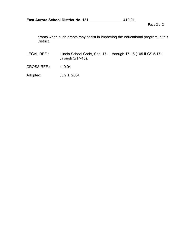grants when such grants may assist in improving the educational program in this District.

- LEGAL REF.: Illinois School Code, Sec. 17- 1 through 17-16 (105 ILCS 5/17-1 through 5/17-16).
- CROSS REF.: 410.04
- Adopted: July 1, 2004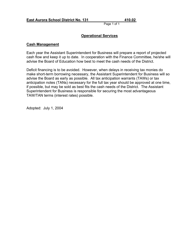# **Operational Services**

#### **Cash Management**

Each year the Assistant Superintendent for Business will prepare a report of projected cash flow and keep it up to date. In cooperation with the Finance Committee, he/she will advise the Board of Education how best to meet the cash needs of the District.

Deficit financing is to be avoided. However, when delays in receiving tax monies do make short-term borrowing necessary, the Assistant Superintendent for Business will so advise the Board as early as possible. All tax anticipation warrants (TAWs) or tax anticipation notes (TANs) necessary for the full tax year should be approved at one time, if possible, but may be sold as best fits the cash needs of the District. The Assistant Superintendent for Business is responsible for securing the most advantageous TAW/TAN terms (interest rates) possible.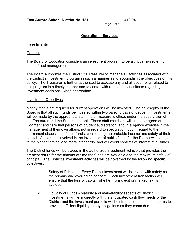# **Operational Services**

#### **Investments**

#### General

The Board of Education considers an investment program to be a critical ingredient of sound fiscal management.

The Board authorizes the District 131 Treasurer to manage all activities associated with the District's investment program in such a manner as to accomplish the objectives of this policy. The Treasurer is further authorized to execute any and all documents related to this program in a timely manner and to confer with reputable consultants regarding investment decisions, when appropriate.

#### Investment Objectives

Money that is not required for current operations will be invested. The philosophy of the Board is that all such funds be invested within two banking days of deposit. Investments will be made by the appropriate staff in the Treasurer's office, under the supervision of the Treasurer and the Superintendent. These staff members will use the degree of judgment and care that persons of prudence, discretion, and intelligence exercise in the management of their own affairs, not in regard to speculation, but in regard to the permanent disposition of their funds, considering the probable income and safety of their capital. All persons involved in the investment of public funds for the District will be held to the highest ethical and moral standards, and will avoid conflicts of interest at all times.

The District funds will be placed in the authorized investment vehicle that provides the greatest return for the amount of time the funds are available and the maximum safety of principal. The District's investment activities will be governed by the following specific objectives:

- 1. Safety of Principal Every District investment will be made with safety as the primary and over-riding concern. Each investment transaction will ensure that the loss of capital, whether from credit or market risk, is avoided.
- 2. Liquidity of Funds Maturity and marketability aspects of District investments will tie in directly with the anticipated cash flow needs of the District, and the investment portfolio will be structured in such manner as to provide sufficient liquidity to pay obligations as they come due.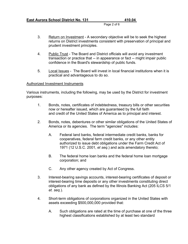Page 2 of 6

- 3. Return on Investment A secondary objective will be to seek the highest returns on District investments consistent with preservation of principal and prudent investment principles.
- 4. Public Trust The Board and District officials will avoid any investment transaction or practice that -- in appearance or fact -- might impair public confidence in the Board's stewardship of public funds.
- 5. Local Issues The Board will invest in local financial institutions when it is practical and advantageous to do so.

#### Authorized Investment Instruments

Various instruments, including the following, may be used by the District for investment purposes:

- 1. Bonds, notes, certificates of indebtedness, treasury bills or other securities now or hereafter issued, which are guaranteed by the full faith and credit of the United States of America as to principal and interest.
- 2. Bonds, notes, debentures or other similar obligations of the United States of America or its agencies. The term "agencies" includes:
	- A. Federal land banks, federal intermediate credit banks, banks for cooperatives, federal farm credit banks, or any other entity authorized to issue debt obligations under the Farm Credit Act of 1971 (12 U.S.C. 2001, *et seq*.) and acts amendatory thereto;
	- B. The federal home loan banks and the federal home loan mortgage corporation; and
	- C. Any other agency created by Act of Congress.
- 3. Interest-bearing savings accounts, interest-bearing certificates of deposit or interest-bearing time deposits or any other investments constituting direct obligations of any bank as defined by the Illinois Banking Act (205 ILCS 5/1 *et. seq.*).
- 4. Short-term obligations of corporations organized in the United States with assets exceeding \$500,000,000 provided that:
	- A. Such obligations are rated at the time of purchase at one of the three highest classifications established by at least two standard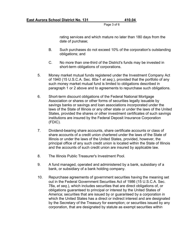Page 3 of 6

rating services and which mature no later than 180 days from the date of purchase;

- B. Such purchases do not exceed 10% of the corporation's outstanding obligations; and
- C. No more than one-third of the District's funds may be invested in short-term obligations of corporations.
- 5. Money market mutual funds registered under the Investment Company Act of 1940 (15 U.S.C.A. Sec. 80a-1 *et seq*.), provided that the portfolio of any such money market mutual fund is limited to obligations described in paragraph 1 or 2 above and to agreements to repurchase such obligations.
- 6. Short-term discount obligations of the Federal National Mortgage Association or shares or other forms of securities legally issuable by savings banks or savings and loan associations incorporated under the laws of the State of Illinois or any other state or under the laws of the United States, provided the shares or other investment certificates of such savings institutions are insured by the Federal Deposit Insurance Corporation (FDIC).
- 7. Dividend-bearing share accounts, share certificate accounts or class of share accounts of a credit union chartered under the laws of the State of Illinois or under the laws of the United States, provided, however, the principal office of any such credit union is located within the State of Illinois and the accounts of such credit union are insured by applicable law.
- 8. The Illinois Public Treasurer's Investment Pool.
- 9. A fund managed, operated and administered by a bank, subsidiary of a bank, or subsidiary of a bank holding company.
- 10. Repurchase agreements of government securities having the meaning set out in the Federal Government Securities Act of 1986 (15 U.S.C.A. Sec. 78a, *et seq*.), which includes securities that are direct obligations of, or obligations guaranteed to principal or interest by the United States of America; securities that are issued by or guaranteed by a corporation in which the United States has a direct or indirect interest and are designated by the Secretary of the Treasury for exemption; or securities issued by any corporation, that are designated by statute as exempt securities within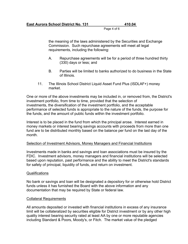Page 4 of 6

the meaning of the laws administered by the Securities and Exchange Commission. Such repurchase agreements will meet all legal requirements, including the following:

- A. Repurchase agreements will be for a period of three hundred thirty (330) days or less; and
- B. Parties will be limited to banks authorized to do business in the State of Illinois.
- 11. The Illinois School District Liquid Asset Fund Plus (ISDLAF+) money market.

One or more of the above investments may be included in, or removed from, the District's investment portfolio, from time to time, provided that the selection of investments, the diversification of the investment portfolio, and the acceptable performance of selected funds is appropriate to the nature of the funds, the purpose for the funds, and the amount of public funds within the investment portfolio.

Interest is to be placed in the fund from which the principal arose. Interest earned in money markets or interest bearing savings accounts with proceeds from more than one fund are to be distributed monthly based on the balance per fund on the last day of the month.

#### Selection of Investment Advisors, Money Managers and Financial Institutions

Investments made in banks and savings and loan associations must be insured by the FDIC. Investment advisors, money managers and financial institutions will be selected based upon reputation, past performance and the ability to meet the District's standards for safety of principal, liquidity of funds, and return on investment.

#### Qualifications

No bank or savings and loan will be designated a depository for or otherwise hold District funds unless it has furnished the Board with the above information and any documentation that may be required by State or federal law.

#### Collateral Requirements

All amounts deposited or invested with financial institutions in excess of any insurance limit will be collateralized by securities eligible for District investment or by any other high quality interest bearing security rated at least AA by one or more reputable agencies including Standard & Poors, Moody's, or Fitch. The market value of the pledged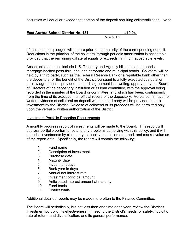securities will equal or exceed that portion of the deposit requiring collateralization. None

| <b>East Aurora School District No. 131</b> |             | 410.04 |
|--------------------------------------------|-------------|--------|
|                                            | Page 5 of 6 |        |

of the securities pledged will mature prior to the maturity of the corresponding deposit. Reductions in the principal of the collateral through periodic amortization is acceptable, provided that the remaining collateral equals or exceeds minimum acceptable levels.

Acceptable securities include U.S. Treasury and Agency bills, notes and bonds, mortgage-backed pass-throughs, and corporate and municipal bonds. Collateral will be held by a third party, such as the Federal Reserve Bank or a reputable bank other than the depository for the benefit of the District, pursuant to a fully executed custodial or escrow agreement -- provided that such agreement is in writing, approved by the Board of Directors of the depository institution or its loan committee, with the approval being recorded in the minutes of the Board or committee, and which has been, continuously, from the time of its execution, an official record of the depository. Verbal confirmation or written evidence of collateral on deposit with the third party will be provided prior to investment by the District. Release of collateral or its proceeds will be permitted only upon the verbal or written authorization of the District.

#### Investment Portfolio Reporting Requirements

A monthly progress report of investments will be made to the Board. This report will address portfolio performance and any problems complying with this policy, and it will describe investments by class or type, book value, income earned, and market value as of the report date. Specifically, the report will contain the following:

- 1. Fund name
- 2. Description of investment
- 3. Purchase date
- 4. Maturity date
- 5. Investment days
- 6. Bank year in days
- 7. Annual net interest rate
- 8. Investment principal amount
- 9. Anticipated interest amount at maturity
- 10. Fund totals
- 11. District totals

Additional detailed reports may be made more often to the Finance Committee.

The Board will periodically, but not less than one time each year, review the District's investment portfolio, its effectiveness in meeting the District's needs for safety, liquidity, rate of return, and diversification, and its general performance.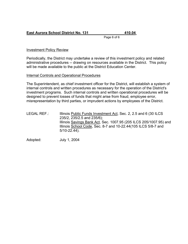# **East Aurora School District No. 131 410.04**

Page 6 of 6

# Investment Policy Review

Periodically, the District may undertake a review of this investment policy and related administrative procedures -- drawing on resources available in the District. This policy will be made available to the public at the District Education Center.

#### Internal Controls and Operational Procedures

The Superintendent, as chief investment officer for the District, will establish a system of internal controls and written procedures as necessary for the operation of the District's investment programs. Such internal controls and written operational procedures will be designed to prevent losses of funds that might arise from fraud, employee error, misrepresentation by third parties, or imprudent actions by employees of the District.

LEGAL REF.: Illinois Public Funds Investment Act, Sec. 2, 2.5 and 6 (30 ILCS 235/2, 235/2.5 and 235/6); Illinois Savings Bank Act, Sec. 1007.95 (205 ILCS 205/1007.95) and Illinois School Code, Sec. 8-7 and 10-22.44(105 ILCS 5/8-7 and 5/10-22.44).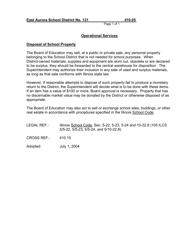# **Operational Services**

#### **Disposal of School Property**

The Board of Education may sell, at a public or private sale, any personal property belonging to the School District that is not needed for school purposes. When District-owned materials, supplies and equipment are worn out, obsolete or are declared to be surplus, they should be forwarded to the central warehouse for disposition. The Superintendent may authorize their inclusion in any sale of used and surplus materials, as long as that sale conforms with Illinois state law.

However, if reasonable attempts to dispose of such property fail to produce a monetary return to the District, the Superintendent will decide what is to be done with these items. If an item has a value of \$100 or more, Board approval is necessary. Property that has no discernable market value may be donated by the District or otherwise disposed of as appropriate.

The Board of Education may also act to sell or exchange school sites, buildings, or other real estate in accordance with procedures specified in the Illinois School Code.

| LEGAL REF.: | Illinois School Code, Sec. 5-22, 5-23, 5-24 and 10-22.8 (105 ILCS |
|-------------|-------------------------------------------------------------------|
|             | 5/5-22, 5/5-23, 5/5-24, and 5/10-22.8).                           |
|             |                                                                   |

CROSS REF.: 410.15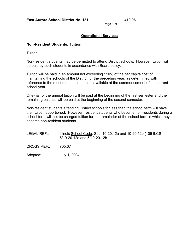# **Operational Services**

#### **Non-Resident Students, Tuition**

**Tuition** 

Non-resident students may be permitted to attend District schools. However, tuition will be paid by such students in accordance with Board policy.

Tuition will be paid in an amount not exceeding 110% of the per capita cost of maintaining the schools of the District for the preceding year, as determined with reference to the most recent audit that is available at the commencement of the current school year.

One-half of the annual tuition will be paid at the beginning of the first semester and the remaining balance will be paid at the beginning of the second semester.

Non-resident students attending District schools for less than the school term will have their tuition apportioned. However, resident students who become non-residents during a school term will not be charged tuition for the remainder of the school term in which they became non-resident students.

LEGAL REF.: Illinois School Code, Sec. 10-20.12a and 10-20.12b (105 ILCS 5/10-20.12a and 5/10-20.12b

CROSS REF.: 705.07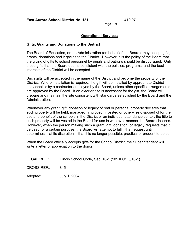# **Operational Services**

#### **Gifts, Grants and Donations to the District**

The Board of Education, or the Administration (on behalf of the Board), may accept gifts, grants, donations and legacies to the District. However, it is the policy of the Board that the giving of gifts to school personnel by pupils and patrons should be discouraged. Only those gifts that the Board deems consistent with the policies, programs, and the best interests of the District will be accepted.

Such gifts will be accepted in the name of the District and become the property of the District. Where installation is required, the gift will be installed by appropriate District personnel or by a contractor employed by the Board, unless other specific arrangements are approved by the Board. If an exterior site is necessary for the gift, the Board will prepare and maintain the site consistent with standards established by the Board and the Administration.

Whenever any grant, gift, donation or legacy of real or personal property declares that such property will be held, managed, improved, invested or otherwise disposed of for the use and benefit of the schools in the District or an individual attendance center, the title to such property will be vested in the Board for use in whatever manner the Board chooses. However, when the person making such a grant, gift, donation, or legacy requests that it be used for a certain purpose, the Board will attempt to fulfill that request until it determines -- at its discretion -- that it is no longer possible, practical or prudent to do so.

When the Board officially accepts gifts for the School District, the Superintendent will write a letter of appreciation to the donor.

| <b>LEGAL REF.:</b> | Illinois School Code, Sec. 16-1 (105 ILCS 5/16-1). |  |  |  |
|--------------------|----------------------------------------------------|--|--|--|
|--------------------|----------------------------------------------------|--|--|--|

CROSS REF.: 845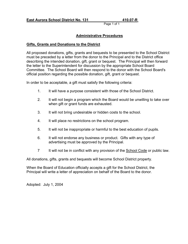# **Administrative Procedures**

#### **Gifts, Grants and Donations to the District**

All proposed donations, gifts, grants and bequests to be presented to the School District must be preceded by a letter from the donor to the Principal and to the District office describing the intended donation, gift, grant or bequest. The Principal will then forward the letter to the Superintendent for discussion by the appropriate School Board Committee. The School Board will then respond to the donor with the School Board's official position regarding the possible donation, gift, grant or bequest.

In order to be acceptable, a gift must satisfy the following criteria:

- 1. It will have a purpose consistent with those of the School District.
- 2. It will not begin a program which the Board would be unwilling to take over when gift or grant funds are exhausted.
- 3. It will not bring undesirable or hidden costs to the school.
- 4. It will place no restrictions on the school program.
- 5. It will not be inappropriate or harmful to the best education of pupils.
- 6. It will not endorse any business or product. Gifts with any type of advertising must be approved by the Principal.
- 7 It will not be in conflict with any provision of the School Code or public law.

All donations, gifts, grants and bequests will become School District property.

When the Board of Education officially accepts a gift for the School District, the Principal will write a letter of appreciation on behalf of the Board to the donor.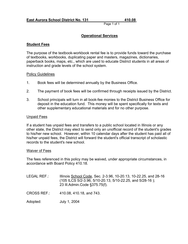# **Operational Services**

#### **Student Fees**

The purpose of the textbook-workbook rental fee is to provide funds toward the purchase of textbooks, workbooks, duplicating paper and masters, magazines, dictionaries, paperback books, maps, etc., which are used to educate District students in all areas of instruction and grade levels of the school system.

#### Policy Guidelines

- 1. Book fees will be determined annually by the Business Office.
- 2. The payment of book fees will be confirmed through receipts issued by the District.
- 3. School principals will turn in all book-fee monies to the District Business Office for deposit in the education fund. This money will be spent specifically for texts and other supplementary educational materials and for no other purpose.

#### Unpaid Fees

If a student has unpaid fees and transfers to a public school located in Illinois or any other state, the District may elect to send only an unofficial record of the student's grades to his/her new school. However, within 10 calendar days after the student has paid all of his/her unpaid fees, the District will forward the student's official transcript of scholastic records to the student's new school.

#### Waiver of Fees

The fees referenced in this policy may be waived, under appropriate circumstances, in accordance with Board Policy 410.18.

| LEGAL REF.:- | Illinois School Code, Sec. 2-3.96, 10-20.13, 10-22.25, and 28-16 |
|--------------|------------------------------------------------------------------|
|              | $(105$ ILCS 5/2-3.96, 5/10-20.13, 5/10-22.25, and 5/28-16);      |
|              | 23 III.Admin.Code §375.75(f).                                    |

CROSS REF.: 410.08, 410.18, and 743.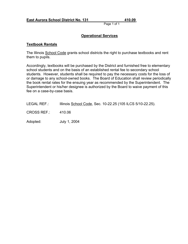# **Operational Services**

#### **Textbook Rentals**

The Illinois School Code grants school districts the right to purchase textbooks and rent them to pupils.

Accordingly, textbooks will be purchased by the District and furnished free to elementary school students and on the basis of an established rental fee to secondary school students. However, students shall be required to pay the necessary costs for the loss of or damage to any school-owned books. The Board of Education shall review periodically the book rental rates for the ensuing year as recommended by the Superintendent. The Superintendent or his/her designee is authorized by the Board to waive payment of this fee on a case-by-case basis.

| <b>LEGAL REF.:</b> | Illinois School Code, Sec. 10-22.25 (105 ILCS 5/10-22.25). |  |  |
|--------------------|------------------------------------------------------------|--|--|
|--------------------|------------------------------------------------------------|--|--|

CROSS REF.: 410.06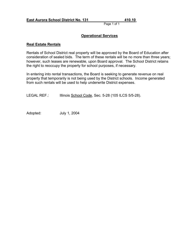# **Operational Services**

#### **Real Estate Rentals**

Rentals of School District real property will be approved by the Board of Education after consideration of sealed bids. The term of these rentals will be no more than three years; however, such leases are renewable, upon Board approval. The School District retains the right to reoccupy the property for school purposes, if necessary.

In entering into rental transactions, the Board is seeking to generate revenue on real property that temporarily is not being used by the District schools. Income generated from such rentals will be used to help underwrite District expenses.

LEGAL REF.: Illinois School Code, Sec. 5-28 (105 ILCS 5/5-28).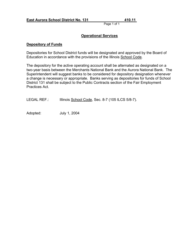# **Operational Services**

#### **Depository of Funds**

Depositories for School District funds will be designated and approved by the Board of Education in accordance with the provisions of the Illinois School Code.

The depository for the active operating account shall be alternated as designated on a two-year basis between the Merchants National Bank and the Aurora National Bank. The Superintendent will suggest banks to be considered for depository designation whenever a change is necessary or appropriate. Banks serving as depositories for funds of School District 131 shall be subject to the Public Contracts section of the Fair Employment Practices Act.

LEGAL REF.: Illinois School Code, Sec. 8-7 (105 ILCS 5/8-7).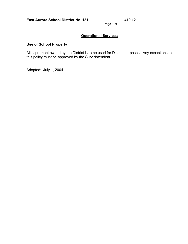# **Operational Services**

# **Use of School Property**

All equipment owned by the District is to be used for District purposes. Any exceptions to this policy must be approved by the Superintendent.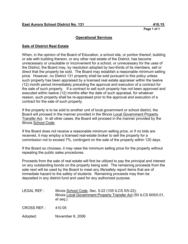# **Operational Services**

#### **Sale of District Real Estate**

When, in the opinion of the Board of Education, a school site, or portion thereof, building or site with building thereon, or any other real estate of the District, has become unnecessary or unsuitable or inconvenient for a school, or unnecessary for the uses of the District, the Board may, by resolution adopted by two-thirds of its members, sell or direct that the property be sold. The Board may establish a reasonable minimum selling price. However, no District 131 property shall be sold pursuant to this policy unless such property has been appraised by a licensed real estate appraiser within the twelve (12) month period immediately preceding the approval and execution of a contract for the sale of such property. If a contract to sell such property has not been approved and executed within twelve (12) months after the date of such appraisal, for whatever reason, such property shall be re-appraised prior to the approval and execution of a contract for the sale of such property.

If the property is to be sold to another unit of local government or school district, the Board will proceed in the manner provided in the Illinois Local Government Property Transfer Act. In all other cases, the Board will proceed in the manner provided by the Illinois School Code.

If the Board does not receive a reasonable minimum selling price, or if no bids are received, it may employ a licensed real-estate broker to sell the property for a commission not to exceed 7%, contingent on the sale of the property within 120 days.

If the Board so chooses, it may raise the minimum selling price for the property without repeating the public sales procedures.

Proceeds from the sale of real estate will first be utilized to pay the principal and interest on any outstanding bonds on the property being sold. The remaining proceeds from the sale next will be used by the Board to meet any life/safety report items that are of immediate hazard to the safety of students. Remaining proceeds may then be deposited in any district fund and used for any authorized purpose.

LEGAL REF.: Illinois School Code, Sec. 5-22 (105 ILCS 5/5-22); Illinois Local Government Property Transfer Act (50 ILCS 605/0.01, *et seq.).*

CROSS REF.: 410.05

Adopted: November 6, 2006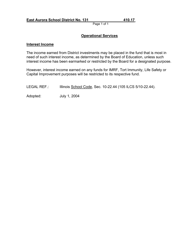# **Operational Services**

#### **Interest Income**

The income earned from District investments may be placed in the fund that is most in need of such interest income, as determined by the Board of Education, unless such interest income has been earmarked or restricted by the Board for a designated purpose.

However, interest income earned on any funds for IMRF, Tort Immunity, Life Safety or Capital Improvement purposes will be restricted to its respective fund.

LEGAL REF.: Illinois School Code, Sec. 10-22.44 (105 ILCS 5/10-22.44).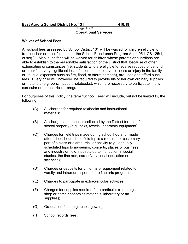#### **East Aurora School District No. 131 410.18**

# Page 1 of 3 **Operational Services**

#### **Waiver of School Fees**

All school fees assessed by School District 131 will be waived for children eligible for free lunches or breakfasts under the School Free Lunch Program Act (105 ILCS 125/1, et seq.). Also, such fees will be waived for children whose parents or guardians are able to establish to the reasonable satisfaction of the District that, because of other extenuating circumstances (i.e. students who are eligible to receive reduced price lunch or breakfast; very significant loss of income due to severe illness or injury in the family or unusual expenses such as fire, flood, or storm damage), are unable to afford such fees. Every child will, however, be required to provide his or her own ordinary supplies or materials (e.g. pencil, paper, notebooks), which are necessary to participate in any curricular or extracurricular program.

For purposes of this Policy, the term "School Fees" will include, but not be limited to, the following:

- (A) All charges for required textbooks and instructional materials;
- (B) All charges and deposits collected by the District for use of school property (e.g. locks, towels, laboratory equipment);
- (C) Charges for field trips made during school hours, or made after school hours if the field trip is a required or customary part of a class or extracurricular activity (e.g., annually scheduled trips to museums, concerts, places of business and industry or field trips related to instruction in social studies, the fine arts, career/vocational education or the sciences);
- (D) Charges or deposits for uniforms or equipment related to varsity and intramural sports, or to fine arts programs;
- (E) Charges to participate in extracurricular activities;
- (F) Charges for supplies required for a particular class (e.g., shop or home economics materials, laboratory or art supplies);
- (G) Graduation fees (e.g., caps, gowns);
- (H) School records fees;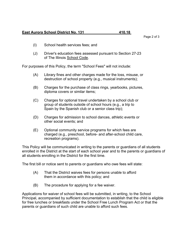#### **East Aurora School District No. 131 410.18**

- (I) School health services fees; and
- (J) Driver's education fees assessed pursuant to Section 27-23 of The Illinois School Code.

For purposes of this Policy, the term "School Fees" will not include:

- (A) Library fines and other charges made for the loss, misuse, or destruction of school property (e.g., musical instruments);
- (B) Charges for the purchase of class rings, yearbooks, pictures, diploma covers or similar items;
- (C) Charges for optional travel undertaken by a school club or group of students outside of school hours (e.g., a trip to Spain by the Spanish club or a senior class trip);
- (D) Charges for admission to school dances, athletic events or other social events; and
- (E) Optional community service programs for which fees are charged (e.g., preschool, before- and after-school child care, recreation programs).

This Policy will be communicated in writing to the parents or guardians of all students enrolled in the District at the start of each school year and to the parents or guardians of all students enrolling in the District for the first time.

The first bill or notice sent to parents or guardians who owe fees will state:

- (A) That the District waives fees for persons unable to afford them in accordance with this policy; and
- (B) The procedure for applying for a fee waiver.

Applications for waiver of school fees will be submitted, in writing, to the School Principal, accompanied by sufficient documentation to establish that the child is eligible for free lunches or breakfasts under the School Free Lunch Program Act or that the parents or guardians of such child are unable to afford such fees.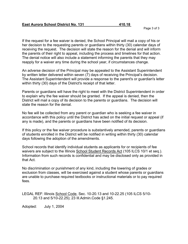If the request for a fee waiver is denied, the School Principal will mail a copy of his or her decision to the requesting parents or guardians within thirty (30) calendar days of receiving the request. The decision will state the reason for the denial and will inform the parents of their right to appeal, including the process and timelines for that action. The denial notice will also include a statement informing the parents that they may reapply for a waiver any time during the school year, if circumstances change.

An adverse decision of the Principal may be appealed to the Assistant Superintendent by written letter delivered within seven (7) days of receiving the Principal's decision. The Assistant Superintendent will provide a response to the parent's or guardian's letter within thirty (30) days of the District's receipt of that letter.

Parents or guardians will have the right to meet with the District Superintendent in order to explain why the fee waiver should be granted. If the appeal is denied, then the District will mail a copy of its decision to the parents or guardians. The decision will state the reason for the denial.

No fee will be collected from any parent or guardian who is seeking a fee waiver in accordance with this policy until the District has acted on the initial request or appeal (if any is made), and the parents or guardians have been notified of its decision.

If this policy or the fee waiver procedure is substantively amended, parents or guardians of students enrolled in the District will be notified in writing within thirty (30) calendar days following the adoption of the amendments.

School records that identify individual students as applicants for or recipients of fee waivers are subject to the Illinois School Student Records Act (105 ILCS 10/1 et seq.). Information from such records is confidential and may be disclosed only as provided in that Act.

No discrimination or punishment of any kind, including the lowering of grades or exclusion from classes, will be exercised against a student whose parents or guardians are unable to purchase required textbooks or instructional materials or to pay required fees.

LEGAL REF: Illinois School Code, Sec. 10-20.13 and 10-22.25 (105 ILCS 5/10- 20.13 and 5/10-22.25); 23 Ill.Admin.Code §1.245.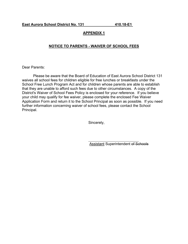# **APPENDIX 1**

## **NOTICE TO PARENTS - WAIVER OF SCHOOL FEES**

Dear Parents:

Please be aware that the Board of Education of East Aurora School District 131 waives all school fees for children eligible for free lunches or breakfasts under the School Free Lunch Program Act and for children whose parents are able to establish that they are unable to afford such fees due to other circumstances. A copy of the District's Waiver of School Fees Policy is enclosed for your reference. If you believe your child may qualify for fee waiver, please complete the enclosed Fee Waiver Application Form and return it to the School Principal as soon as possible. If you need further information concerning waiver of school fees, please contact the School Principal.

Sincerely,

l Assistant Superintendent of Schools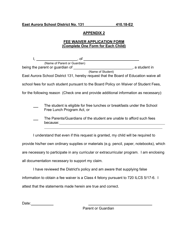# **APPENDIX 2**

# **FEE WAIVER APPLICATION FORM (Complete One Form for Each Child)**

l, \_\_\_\_\_\_\_\_\_\_\_\_\_\_\_\_\_\_\_\_\_\_\_\_\_\_\_\_\_\_\_\_, of \_ (Name of Parent or Guardian) being the parent or guardian of \_\_\_\_\_\_\_\_\_\_\_\_\_\_\_\_\_\_\_\_\_\_\_\_\_\_\_\_\_\_\_\_, a student in (Name of Student) East Aurora School District 131, hereby request that the Board of Education waive all school fees for such student pursuant to the Board Policy on Waiver of Student Fees, for the following reason (Check one and provide additional information as necessary): The student is eligible for free lunches or breakfasts under the School Free Lunch Program Act, or

 The Parents/Guardians of the student are unable to afford such fees because: when the contract of the contract of the contract of the contract of the contract of the contract of the contract of the contract of the contract of the contract of the contract of the contract of the contract of l

I understand that even if this request is granted, my child will be required to provide his/her own ordinary supplies or materials (e.g. pencil, paper, notebooks), which are necessary to participate in any curricular or extracurricular program. I am enclosing all documentation necessary to support my claim.

I have reviewed the District's policy and am aware that supplying false information to obtain a fee waiver is a Class 4 felony pursuant to 720 ILCS 5/17-6. I

attest that the statements made herein are true and correct.

Date: **Date:** 

Parent or Guardian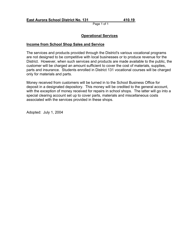# **Operational Services**

#### **Income from School Shop Sales and Service**

The services and products provided through the District's various vocational programs are not designed to be competitive with local businesses or to produce revenue for the District. However, when such services and products are made available to the public, the customer will be charged an amount sufficient to cover the cost of materials, supplies, parts and insurance. Students enrolled in District 131 vocational courses will be charged only for materials and parts.

Money received from customers will be turned in to the School Business Office for deposit in a designated depository. This money will be credited to the general account, with the exception of money received for repairs in school shops. The latter will go into a special clearing account set up to cover parts, materials and miscellaneous costs associated with the services provided in these shops.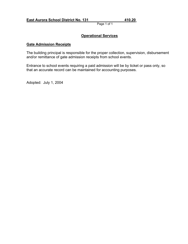# **Operational Services**

## **Gate Admission Receipts**

The building principal is responsible for the proper collection, supervision, disbursement and/or remittance of gate admission receipts from school events.

Entrance to school events requiring a paid admission will be by ticket or pass only, so that an accurate record can be maintained for accounting purposes.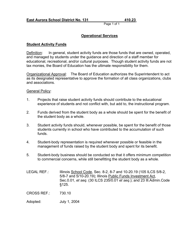# **Operational Services**

#### **Student Activity Funds**

Definition: In general, student activity funds are those funds that are owned, operated, and managed by students under the guidance and direction of a staff member for educational, recreational, and/or cultural purposes. Though student activity funds are not tax monies, the Board of Education has the ultimate responsibility for them.

Organizational Approval: The Board of Education authorizes the Superintendent to act as its designated representative to approve the formation of all class organizations, clubs and associations.

## General Policy:

- 1. Projects that raise student activity funds should contribute to the educational experience of students and not conflict with, but add to, the instructional program.
- 2. Funds derived from the student body as a whole should be spent for the benefit of the student body as a whole.
- 3. Student activity funds should, whenever possible, be spent for the benefit of those students currently in school who have contributed to the accumulation of such funds.
- 4. Student-body representation is required whenever possible or feasible in the management of funds raised by the student body and spent for its benefit.
- 5. Student-body business should be conducted so that it offers minimum competition to commercial concerns, while still benefitting the student body as a whole.
- LEGAL REF.: Illinois School Code, Sec. 8-2, 8-7 and 10-20.19 (105 ILCS 5/8-2, 5/8-7 and 5/10-20.19); Illinois Public Funds Investment Act, Sec.0.01, *et seq*. (30 ILCS 235/0.01 *et seq*.); and 23 Ill.Admin.Code §125.

CROSS REF.: 730.10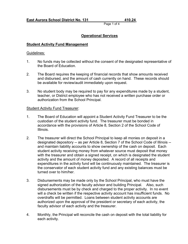# **Operational Services**

# **Student Activity Fund Management**

#### Guidelines:

- 1. No funds may be collected without the consent of the designated representative of the Board of Education.
- 2. The Board requires the keeping of financial records that show amounts received and disbursed, and the amount of cash currently on hand. These records should be available for review/audit immediately upon request.
- 3. No student body may be required to pay for any expenditures made by a student, teacher, or District employee who has not received a written purchase order or authorization from the School Principal.

## Student Activity Fund Treasurer:

- 1. The Board of Education will appoint a Student Activity Fund Treasurer to be the custodian of the student activity fund. The treasurer must be bonded in accordance with the provisions of Article 8, Section 2 of the School Code of Illinois.
- 2. The treasurer will direct the School Principal to keep all monies on deposit in a designated depository -- as per Article 8, Section 7 of the School Code of Illinois - and maintain liability accounts to show ownership of the cash on deposit. Each student activity receiving money from whatever source must deposit that money with the treasurer and obtain a signed receipt, on which is designated the student activity and the amount of money deposited. A record of all receipts and expenditures in the activity fund will be continuously maintained. The treasurer is the conservator of each student activity fund and any existing balances must be turned over to him/her.
- 3. Disbursements may be made only by the School Principal, who must have the signed authorization of the faculty advisor and building Principal. Also, such disbursements must be by check and charged to the proper activity. In no event will a check be written if the respective activity account has insufficient funds. No overdrafts will be permitted. Loans between student activity accounts are authorized upon the approval of the president or secretary of each activity, the faculty advisor of each activity and the treasurer.
- 4. Monthly, the Principal will reconcile the cash on deposit with the total liability for each activity.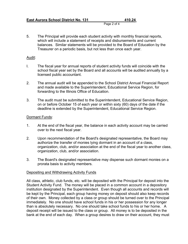Page 2 of 4

5. The Principal will provide each student activity with monthly financial reports, which will include a statement of receipts and disbursements and current balances. Similar statements will be provided to the Board of Education by the Treasurer on a periodic basis, but not less than once each year.

#### Audit:

- I. The fiscal year for annual reports of student activity funds will coincide with the school fiscal year set by the Board and all accounts will be audited annually by a licensed public accountant.
- 2. The annual audit will be appended to the School District Annual Financial Report and made available to the Superintendent, Educational Service Region, for forwarding to the Illinois Office of Education.
- 3. The audit must be submitted to the Superintendent, Educational Service Region, on or before October 15 of each year or within sixty (60) days of the date if the deadline is extended by the Superintendent, Educational Service Region.

## Dormant Funds:

- 1. At the end of the fiscal year, the balance in each activity account may be carried over to the next fiscal year.
- 2. Upon recommendation of the Board's designated representative, the Board may authorize the transfer of monies lying dormant in an account of a class, organization, club, and/or association at the end of the fiscal year to another class, organization, club, and/or association.
- 3. The Board's designated representative may dispense such dormant monies on a prorata basis to activity members.

## Depositing and Withdrawing Activity Funds

All class, athletic, club funds, etc. will be deposited with the Principal for deposit into the Student Activity Fund. The money will be placed in a common account in a depository institution designated by the Superintendent. Even though all accounts and records will be kept by the Principal, each group having money on deposit should also keep records of their own. Money collected by a class or group should be turned over to the Principal immediately. No one should have school funds in his or her possession for any longer than is absolutely necessary. No one should take school funds to his or her home. A deposit receipt will be issued to the class or group. All money is to be deposited in the bank at the end of each day. When a group desires to draw on their account, they must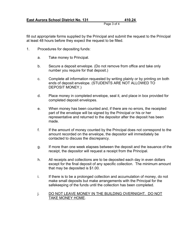Page 3 of 4

fill out appropriate forms supplied by the Principal and submit the request to the Principal at least 48 hours before they expect the request to be filled.

- 1. Procedures for depositing funds:
	- a. Take money to Principal.
	- b. Secure a deposit envelope. (Do not remove from office and take only number you require for that deposit.)
	- c. Complete all information requested by writing plainly or by printing on both ends of deposit envelope. (STUDENTS ARE NOT ALLOWED TO DEPOSIT MONEY.)
	- d. Place money in completed envelope, seal it, and place in box provided for completed deposit envelopes.
	- e. When money has been counted and, if there are no errors, the receipted part of the envelope will be signed by the Principal or his or her representative and returned to the depositor after the deposit has been made.
	- f. If the amount of money counted by the Principal does not correspond to the amount recorded on the envelope, the depositor will immediately be contacted to discuss the discrepancy.
	- g. If more than one week elapses between the deposit and the issuance of the receipt, the depositor will request a receipt from the Principal.
	- h. All receipts and collections are to be deposited each day in even dollars except for the final deposit of any specific collection. The minimum amount that may be deposited is \$1.00.
	- i. If there is to be a prolonged collection and accumulation of money, do not make small deposits but make arrangements with the Principal for the safekeeping of the funds until the collection has been completed.
	- j. DO NOT LEAVE MONEY IN THE BUILDING OVERNIGHT. DO NOT TAKE MONEY HOME.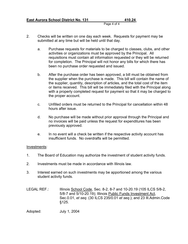Page 4 of 4

- 2. Checks will be written on one day each week. Requests for payment may be submitted at any time but will be held until that day.
	- a. Purchase requests for materials to be charged to classes, clubs, and other activities or organizations must be approved by the Principal. All requisitions must contain all information requested or they will be returned for completion. The Principal will not honor any bills for which there has been no purchase order requested and issued.
	- b. After the purchase order has been approved, a bill must be obtained from the supplier when the purchase is made. This bill will contain the name of the supplier, quantity, description of articles, and the total cost of the item or items received. This bill will be immediately filed with the Principal along with a properly completed request for payment so that it may be charged to the proper account.
	- c. Unfilled orders must be returned to the Principal for cancellation within 48 hours after issue.
	- d. No purchase will be made without prior approval through the Principal and no invoices will be paid unless the request for expenditures has been previously approved.
	- e. In no event will a check be written if the respective activity account has insufficient funds. No overdrafts will be permitted.

## Investments:

- 1. The Board of Education may authorize the investment of student activity funds.
- 2. Investments must be made in accordance with Illinois law.
- 3. Interest earned on such investments may be apportioned among the various student activity funds.
- LEGAL REF.: Illinois School Code, Sec. 8-2, 8-7 and 10-20.19 (105 ILCS 5/8-2, 5/8-7 and 5/10-20.19); Illinois Public Funds Investment Act, Sec.0.01, *et seq*. (30 ILCS 235/0.01 *et seq*.); and 23 Ill.Admin.Code §125.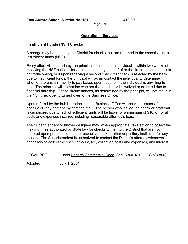# **Operational Services**

#### **Insufficient Funds (NSF) Checks**

A charge may be made by the District for checks that are returned to the schools due to insufficient funds (NSF).

Every effort will be made by the principal to contact the individual -- within two weeks of receiving the NSF notice -- for an immediate payment. If after the first request a check is not forthcoming, or if upon receiving a second check that check is rejected by the bank due to insufficient funds, the principal will again contact the individual to determine whether there is an inability to pay based upon need, or if the individual is unwilling to pay. The principal will determine whether the fee should be waived or deferred due to financial hardship. These circumstances, as determined by the principal, will not result in the NSF check being turned over to the Business Office.

Upon referral by the building principal, the Business Office will send the issuer of the check a 30-day demand by certified mail. The person who issued the check or draft that is dishonored due to lack of sufficient funds will be liable for a minimum of \$10, or for all costs and expenses incurred including reasonable attorney's fees.

The Superintendent or his/her designee may, when appropriate, take action to collect the maximum fee authorized by State law for checks written to the District that are not honored upon presentation to the respective bank or other depository institution for any reason. The Superintendent is authorized to contact the District's attorney whenever necessary to collect the check amount, fee, collection costs and expenses, and interest.

LEGAL REF.: Illinois Uniform Commercial Code, Sec. 3-806 (810 ILCS 5/3-806).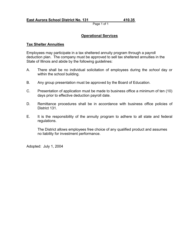# **Operational Services**

#### **Tax Shelter Annuities**

Employees may participate in a tax sheltered annuity program through a payroll deduction plan. The company must be approved to sell tax sheltered annuities in the State of Illinois and abide by the following guidelines:

- A. There shall be no individual solicitation of employees during the *school* day or within the school building.
- B. Any group presentation must be approved by the Board of Education.
- C. Presentation of application must be made to business office a minimum of ten (10) days prior to effective deduction payroll date.
- D. Remittance procedures shall be in accordance with business office policies of District 131.
- E. It is the responsibility of the annuity program to adhere to all state and federal regulations.

The District allows employees free choice of any qualified product and assumes no liability for investment performance.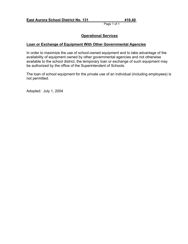# **Operational Services**

## **Loan or Exchange of Equipment With Other Governmental Agencies**

In order to maximize the use of school-owned equipment and to take advantage of the availability of equipment owned by other governmental agencies and not otherwise available to the school district, the temporary loan or exchange of such equipment may be authorized by the office of the Superintendent of Schools.

The loan of school equipment for the private use of an individual (including employees) is not permitted.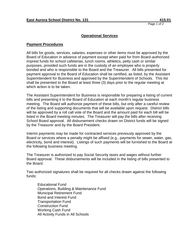#### **Operational Services**

#### **Payment Procedures**

All bills for goods, services, salaries, expenses or other items must be approved by the Board of Education in advance of payment except when paid for from Board-authorized imprest funds for school cafeterias, lunch rooms, athletics, petty cash or similar purposes, provided such funds are in the custody of an employee who is properly bonded and who is responsible to the Board and the Treasurer. All bills presented for payment approval to the Board of Education shall be certified, as listed, by the Assistant Superintendent for Business and approved by the Superintendent of Schools. This list shall be presented to the Board at least three (3) days prior to the regular meeting at which action is to be taken.

The Assistant Superintendent for Business is responsible for preparing a listing of current bills and presenting it to the Board of Education at each month's regular business meeting. The Board will authorize payment of these bills, but only after a careful review of the listing and supporting documents that will be available upon request. District bills will be approved by a roll call vote of the Board and the amount paid for each bill will be listed in the Board meeting minutes. The Treasurer will pay the bills after receiving School Board approval. All disbursement checks drawn on District funds will be signed by the Treasurer and by the Board President.

Interim payments may be made for contracted services previously approved by the Board or services where a penalty might be affixed (e.g., payments for sewer, water, gas, electricity, bond and interest). Listings of such payments will be furnished to the Board at the following business meeting.

The Treasurer is authorized to pay Social Security taxes and wages without further Board approval. These disbursements will be included in the listing of bills presented to the Board.

Two authorized signatures shall be required for all checks drawn against the following funds:

Educational Fund Operations, Building & Maintenance Fund Municipal Retirement Fund Bond and Interest Fund Transportation Fund Construction Fund Working Cash Fund All Activity Funds in All Schools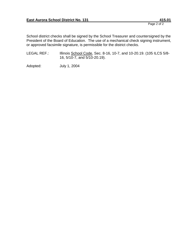Page 2 of 2

School district checks shall be signed by the School Treasurer and countersigned by the President of the Board of Education. The use of a mechanical check signing instrument, or approved facsimile signature, is permissible for the district checks.

LEGAL REF.: Illinois School Code, Sec. 8-16, 10-7, and 10-20.19. (105 ILCS 5/8-16, 5/10-7, and 5/10-20.19).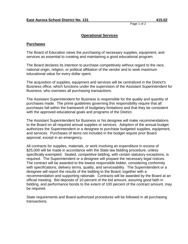# **Operational Services**

#### **Purchases**

The Board of Education views the purchasing of necessary supplies, equipment, and services as essential to creating and maintaining a good educational program.

The Board declares its intention to purchase competitively without regard to the race, national origin, religion, or political affiliation of the vendor and to seek maximum educational value for every dollar spent.

The acquisition of supplies, equipment and services will be centralized in the District's Business office, which functions under the supervision of the Assistant Superintendent for Business, who oversees all purchasing transactions.

The Assistant Superintendent for Business is responsible for the quality and quantity of purchases made. The prime guidelines governing this responsibility require that all purchases fall within the framework of budgetary limitations and that they be consistent with the approved educational goals and programs of the District.

The Assistant Superintendent for Business or his designee will make recommendations to the Board on all required annual supplies or services. Adoption of the annual budget authorizes the Superintendent or a designee to purchase budgeted supplies, equipment, and services. Purchases of items not included in the budget require prior Board approval, except in an emergency.

All contracts for supplies, materials, or work involving an expenditure in excess of \$25,000 will be made in accordance with the State law bidding procedure, unless specifically exempted. Sealed, competitive bidding, with certain statutory exceptions, is required. The Superintendent or a designee will prepare the necessary legal notices. The contract will be awarded to the lowest responsible bidder, considering conformity with specifications, delivery terms, quality, and serviceability. The Superintendent or a designee will report the results of the bidding to the Board, together with a recommendation and supporting rationale. Contracts will be awarded by the Board at an official meeting. Bid deposits of 10 percent of the bid amount, assuring good faith in bidding, and performance bonds to the extent of 100 percent of the contract amount, may be required.

State requirements and Board-authorized procedures will be followed in all purchasing transactions.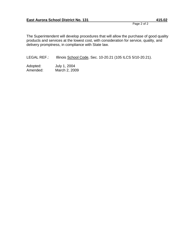Page 2 of 2

The Superintendent will develop procedures that will allow the purchase of good quality products and services at the lowest cost, with consideration for service, quality, and delivery promptness, in compliance with State law.

LEGAL REF.: Illinois School Code, Sec. 10-20.21 (105 ILCS 5/10-20.21).

Adopted: July 1, 2004 Amended: March 2, 2009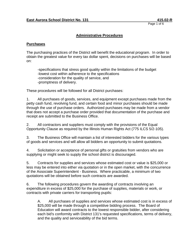# **Administrative Procedures**

#### **Purchases**

The purchasing practices of the District will benefit the educational program. In order to obtain the greatest value for every tax dollar spent, decisions on purchases will be based on:

-specifications that stress good quality within the limitations of the budget -lowest cost within adherence to the specifications -consideration for the quality of service, and -promptness of delivery.

These procedures will be followed for all District purchases:

1. All purchases of goods, services, and equipment except purchases made from the petty cash fund, revolving fund, and certain food and minor purchases should be made through the use of purchase orders. Authorized purchases may be made from a vendor that does not accept a purchase order provided that documentation of the purchase and receipt are submitted to the Business Office.

2. All contractors and suppliers must comply with the provisions of the Equal Opportunity Clause as required by the Illinois Human Rights Act (775 ILCS 5/2-105).

3. The Business Office will maintain a list of interested bidders for the various types of goods and services and will allow all bidders an opportunity to submit quotations.

4. Solicitation or acceptance of personal gifts or gratuities from vendors who are supplying or might seek to supply the school district is discouraged.

5. Contracts for supplies and services whose estimated cost or value is \$25,000 or less may be entered into either via quotation or in the open market, with the concurrence of the Associate Superintendent - Business. Where practicable, a minimum of two quotations will be obtained before such contracts are awarded.

6. The following procedures govern the awarding of contracts involving an expenditure in excess of \$25,000 for the purchase of supplies, materials or work, or contracts with private carriers for transporting pupils:

A. All purchases of supplies and services whose estimated cost is in excess of \$25,000 will be made through a competitive bidding process. The Board of Education will award contracts to the lowest responsible bidder, after considering each bid's conformity with District 131's requested specifications, terms of delivery, and the quality and serviceability of the bid terms.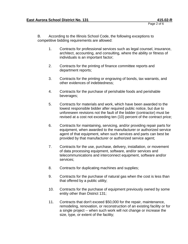Page 2 of 6

B. According to the Illinois School Code, the following exceptions to competitive bidding requirements are allowed:

- 1. Contracts for professional services such as legal counsel, insurance, architect, accounting, and consulting, where the ability or fitness of individuals is an important factor;
- 2. Contracts for the printing of finance committee reports and department reports;
- 3. Contracts for the printing or engraving of bonds, tax warrants, and other evidences of indebtedness;
- 4. Contracts for the purchase of perishable foods and perishable beverages;
- 5. Contracts for materials and work, which have been awarded to the lowest responsible bidder after required public notice, but due to unforeseen revisions not the fault of the bidder (contractor) must be revised at a cost not exceeding ten (10) percent of the contract price;
- 6. Contracts for maintaining, servicing, and/or providing repair parts for equipment, when awarded to the manufacturer or authorized service agent of that equipment, when such services and parts can best be provided by that manufacturer or authorized service agent;
- 7. Contracts for the use, purchase, delivery, installation, or movement of data processing equipment, software, and/or services and telecommunications and interconnect equipment, software and/or services;
- 8. Contracts for duplicating machines and supplies;
- 9. Contracts for the purchase of natural gas when the cost is less than that offered by a public utility;
- 10. Contracts for the purchase of equipment previously owned by some entity other than District 131;
- 11. Contracts that don't exceed \$50,000 for the repair, maintenance, remodeling, renovation, or reconstruction of an existing facility or for a single project -- when such work will not change or increase the size, type, or extent of the facility;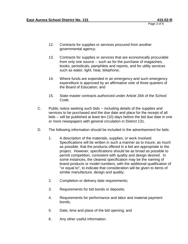- 12. Contracts for supplies or services procured from another governmental agency;
- 13. Contracts for supplies or services that are economically procurable from only one source -- such as for the purchase of magazines, books, periodicals, pamphlets and reports, and for utility services such as water, light, heat, telephone;
- 14. Where funds are expended in an emergency and such emergency expenditure is approved by an affirmative vote of three quarters of the Board of Education; and
- 15. State master contracts authorized under Article 28A of the School Code.
- C. Public notice seeking such bids -- including details of the supplies and services to be purchased and the due date and place for the receipt of all bids -- will be published at least ten (10) days before the bid due date in one or more newspapers with general circulation in District 131.
- D. The following information should be included in the advertisement for bids:
	- 1. A description of the materials, supplies, or work involved. Specifications will be written in such a manner as to insure, as much as possible, that the products offered in a bid are appropriate to the project. However, specifications should be as broad as possible to permit competition, consistent with quality and design desired. In some instances, the clearest specification may be the naming of brand products or model numbers, with the additional qualification of "or equal to", to indicate that consideration will be given to items of similar manufacture, design and quality;
	- 2. Completion or delivery date requirements;
	- 3. Requirements for bid bonds or deposits;
	- 4. Requirements for performance and labor and material payment bonds;
	- 5. Date, time and place of the bid opening; and
	- 6. Any other useful information.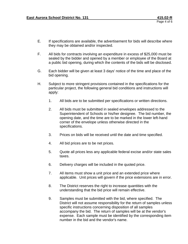- E. If specifications are available, the advertisement for bids will describe where they may be obtained and/or inspected.
- F. All bids for contracts involving an expenditure in excess of \$25,000 must be sealed by the bidder and opened by a member or employee of the Board at a public bid opening, during which the contents of the bids will be disclosed.
- G. Each bidder will be given at least 3 days' notice of the time and place of the bid opening.
- H. Subject to more stringent provisions contained in the specifications for the particular project, the following general bid conditions and instructions will apply:
	- 1. All bids are to be submitted per specifications or written directions.
	- 2. All bids must be submitted in sealed envelopes addressed to the Superintendent of Schools or his/her designee. The bid number, the opening date, and the time are to be marked in the lower left-hand corner of the envelope unless otherwise directed in the specifications.
	- 3. Prices on bids will be received until the date and time specified.
	- 4. All bid prices are to be net prices.
	- 5. Quote all prices less any applicable federal excise and/or state sales taxes.
	- 6. Delivery charges will be included in the quoted price.
	- 7. All items must show a unit price and an extended price where applicable. Unit prices will govern if the price extensions are in error.
	- 8. The District reserves the right to increase quantities with the understanding that the bid price will remain effective.
	- 9. Samples must be submitted with the bid, where specified. The District will not assume responsibility for the return of samples unless specific instructions concerning disposition of all samples accompany the bid. The return of samples will be at the vendor's expense. Each sample must be identified by the corresponding item number in the bid and the vendor's name.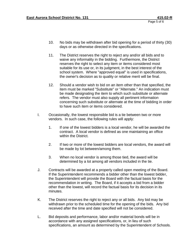- 10. No bids may be withdrawn after bid opening for a period of thirty (30) days or as otherwise directed in the specifications.
- 11. The District reserves the right to reject any and/or all bids and to waive any informality in the bidding. Furthermore, the District reserves the right to select any item or items considered most suitable for its use or, in its judgment, in the best interest of the school system. Where "approved equal" is used in specifications, the owner's decision as to quality or relative merit will be final.
- 12. Should a vendor wish to bid on an item other than that specified, the item must be marked "Substitute" or "Alternate." An indication must be made designating the item to which such substitute or alternate refers. The vendor must also supply all pertinent information concerning such substitute or alternate at the time of bidding in order to have such item or items considered.
- I. Occasionally, the lowest responsible bid is a tie between two or more vendors. In such case, the following rules will apply:
	- 1. If one of the lowest bidders is a local vendor, he will be awarded the contract. A local vendor is defined as one maintaining an office within the District.
	- 2. If two or more of the lowest bidders are local vendors, the award will be made by lot between/among them.
	- 3. When no local vendor is among those tied, the award will be determined by a lot among all vendors included in the tie.
- J. Contracts will be awarded at a properly called open meeting of the Board. If the Superintendent recommends a bidder other than the lowest bidder, the Superintendent will provide the Board with the factual basis for the recommendation in writing. The Board, if it accepts a bid from a bidder other than the lowest, will record the factual basis for its decision in its minutes.
- K. The District reserves the right to reject any or all bids. Any bid may be withdrawn prior to the scheduled time for the opening of the bids. Any bid received after the time and date specified will not be considered.
- L. Bid deposits and performance, labor and/or material bonds will be in accordance with any assigned specifications, or, in lieu of such specifications, an amount as determined by the Superintendent of Schools.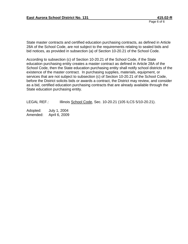State master contracts and certified education purchasing contracts, as defined in Article 28A of the School Code, are not subject to the requirements relating to sealed bids and bid notices, as provided in subsection (a) of Section 10-20.21 of the School Code.

According to subsection (c) of Section 10-20.21 of the School Code, if the State education purchasing entity creates a master contract as defined in Article 28A of the School Code, then the State education purchasing entity shall notify school districts of the existence of the master contract. In purchasing supplies, materials, equipment, or services that are not subject to subsection (c) of Section 10-20.21 of the School Code, before the District solicits bids or awards a contract, the District may review, and consider as a bid, certified education purchasing contracts that are already available through the State education purchasing entity.

LEGAL REF.: Illinois School Code, Sec. 10-20.21 (105 ILCS 5/10-20.21).

Adopted: July 1, 2004 Amended: April 6, 2009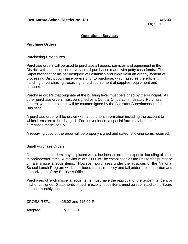## **Operational Services**

#### **Purchase Orders**

#### Purchasing Procedures

Purchase orders will be used to purchase all goods, services and equipment in the District, with the exception of very small purchases made with petty cash funds. The Superintendent or his/her designee will establish and implement an orderly system of processing District purchase orders prior to purchase, which assures the efficient handling of purchasing, receiving, and disbursement of supplies, equipment and services.

Purchase orders that originate at the building level must be signed by the Principal. All other purchase orders must be signed by a Central Office administrator. Purchase Orders, when completed, will be countersigned by the Assistant Superintendent for Business.

A purchase order will be drawn with all pertinent information including the account to which items are to be charged. For convenience, a special form may be used for purchases made locally.

A receiving copy of the order will be properly signed and dated, showing items received.

#### Small Purchase Orders

Open purchase orders may be placed with a business in order to expedite handling of small miscellaneous items. A maximum of \$2,000 will be established as the limit for the purchase of any miscellaneous items. However, purchases under the auspices of the National School Lunch Program will be excluded from this policy and fall under the jurisdiction and authorization of the Business Office.

Purchases of such miscellaneous items must have the approval of the Superintendent or his/her designee. Statements of such miscellaneous items must be submitted to the Board at each monthly business meeting.

CROSS REF.: 415.02 and 415.02-R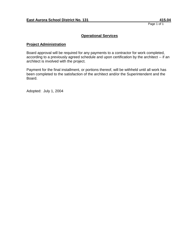## **Operational Services**

#### **Project Administration**

Board approval will be required for any payments to a contractor for work completed, according to a previously agreed schedule and upon certification by the architect -- if an architect is involved with the project.

Payment for the final installment, or portions thereof, will be withheld until all work has been completed to the satisfaction of the architect and/or the Superintendent and the Board.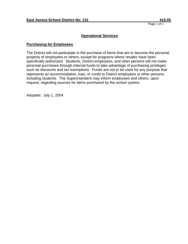# **Operational Services**

#### **Purchasing for Employees**

The District will not participate in the purchase of items that are to become the personal property of employees or others, except for programs where resales have been specifically authorized. Students, District employees, and other persons will not make personal purchases through internal funds to take advantage of purchasing privileges such as discounts and tax exemptions. Funds are not to be used for any purpose that represents an accommodation, loan, or credit to District employees or other persons, including students. The Superintendent may inform employees and others, upon request, regarding sources for items purchased by the school system.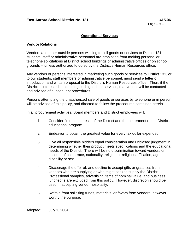# **Operational Services**

## **Vendor Relations**

Vendors and other outside persons wishing to sell goods or services to District 131 students, staff or administrative personnel are prohibited from making personal or telephone solicitations at District school buildings or administrative offices or on school grounds -- unless authorized to do so by the District's Human Resources office.

Any vendors or persons interested in marketing such goods or services to District 131, or to our students, staff members or administrative personnel, must send a letter of introduction and written proposal to the District's Human Resources office. Then, if the District is interested in acquiring such goods or services, that vendor will be contacted and advised of subsequent procedures.

Persons attempting the unauthorized sale of goods or services by telephone or in person will be advised of this policy, and directed to follow the procedures contained herein.

In all procurement activities, Board members and District employees will:

- 1. Consider first the interests of the District and the betterment of the District's educational program.
- 2. Endeavor to obtain the greatest value for every tax dollar expended.
- 3. Give all responsible bidders equal consideration and unbiased judgment in determining whether their product meets specifications and the educational needs of the District. There will be no discrimination toward vendors on account of color, race, nationality, religion or religious affiliation, age, disability or sex.
- 4. Discourage the offer of, and decline to accept gifts or gratuities from vendors who are supplying or who might seek to supply the District. Professional samples, advertising items of nominal value, and business luncheons are excluded from this policy. However, discretion should be used in accepting vendor hospitality.
- 5. Refrain from soliciting funds, materials, or favors from vendors, however worthy the purpose.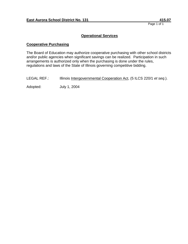## **Operational Services**

## **Cooperative Purchasing**

The Board of Education may authorize cooperative purchasing with other school districts and/or public agencies when significant savings can be realized. Participation in such arrangements is authorized only when the purchasing is done under the rules, regulations and laws of the State of Illinois governing competitive bidding.

LEGAL REF.: Illinois Intergovernmental Cooperation Act, (5 ILCS 220/1 *et seq*.).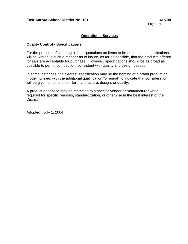#### **Operational Services**

#### **Quality Control - Specifications**

For the purpose of securing bids or quotations on items to be purchased, specifications will be written in such a manner as to insure, as far as possible, that the products offered for sale are acceptable for purchase. However, specifications should be as broad as possible to permit competition, consistent with quality and design desired.

In some instances, the clearest specification may be the naming of a brand product or model number, with the additional qualification "or equal" to indicate that consideration will be given to items of similar manufacture, design, or quality.

A product or service may be restricted to a specific vendor or manufacturer when required for specific reasons, standardization, or otherwise in the best interest of the District.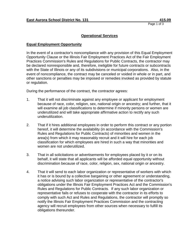## **Operational Services**

#### **Equal Employment Opportunity**

In the event of a contractor's noncompliance with any provision of this Equal Employment Opportunity Clause or the Illinois Fair Employment Practices Act of the Fair Employment Practices Commission's Rules and Regulations for Public Contracts, the contractor may be declared nonresponsible and, therefore, ineligible for future contracts or subcontracts with the State of Illinois or any of its subdivisions or municipal corporations. Also, in the event of noncompliance, the contract may be canceled or voided in whole or in part, and other sanctions or penalties may be imposed or remedies invoked as provided by statute or regulation.

During the performance of the contract, the contractor agrees:

- 1. That it will not discriminate against any employee or applicant for employment because of race, color, religion, sex, national origin or ancestry; and further, that it will examine all job classifications to determine if minority persons or women are underutilized and will take appropriate affirmative action to rectify any such underutilization.
- 2. That if it hires additional employees in order to perform this contract or any portion hereof, it will determine the availability (in accordance with the Commission's Rules and Regulations for Public Contracts) of minorities and women in the area(s) from which it may reasonably recruit and it will hire for each job classification for which employees are hired in such a way that minorities and women are not underutilized.
- 3. That in all solicitations or advertisements for employees placed by it or on its behalf, it will state that all applicants will be afforded equal opportunity without discrimination because of race, color, religion, sex, national origin or ancestry.
- 4. That it will send to each labor organization or representative of workers with which it has or is bound by a collective bargaining or other agreement or understanding, a notice advising such labor organization or representative of the contractor's obligations under the Illinois Fair Employment Practices Act and the Commission's Rules and Regulations for Public Contracts. If any such labor organization or representative fails or refuses to cooperate with the contractor in its efforts to comply with such Act and Rules and Regulations, the contractor will promptly so notify the Illinois Fair Employment Practices Commission and the contracting agency will recruit employees from other sources when necessary to fulfill its obligations thereunder.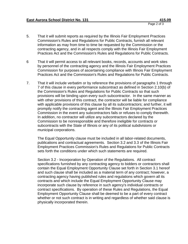- 5. That it will submit reports as required by the Illinois Fair Employment Practices Commission's Rules and Regulations for Public Contracts, furnish all relevant information as may from time to time be requested by the Commission or the contracting agency, and in all respects comply with the Illinois Fair Employment Practices Act and the Commission's Rules and Regulations for Public Contracts.
- 6 That it will permit access to all relevant books, records, accounts and work sites by personnel of the contracting agency and the Illinois Fair Employment Practices Commission for purposes of ascertaining compliance with Illinois Fair Employment Practices Act and the Commission's Rules and Regulations for Public Contracts.
- 7. That it will include verbatim or by reference the provisions of paragraphs 1 through 7 of this clause in every performance subcontract as defined in Section 2.10(b) of the Commission's Rules and Regulations for Public Contracts so that such provisions will be binding upon every such subcontractor. In the same manner as with other provisions of this contract, the contractor will be liable for compliance with applicable provisions of this clause by all its subcontractors; and further, it will promptly notify the contracting agent and the Illinois Fair Employment Practices Commission in the event any subcontractors fails or refuses to comply therewith. In addition, no contractor will utilize any subcontractors declared by the Commission to be nonresponsible and therefore ineligible for contracts or subcontracts with the State of Illinois or any of its political subdivisions or municipal corporations.

The Equal Opportunity clause must be included in all labor-related documents, publications and contractual agreements. Section 3.2 and 3.3 of the Illinois Fair Employment Practices Commission's Rules and Regulations for Public Contracts sets forth the conditions under which such statements are required.

Section 3.2 - Incorporation by Operation of the Regulations. All contract specifications furnished by any contracting agency to bidders or contractors shall contain the Equal Employment Opportunity Clause set forth in Section 3.1 hereof and such clause shall be included as a material term of any contract; however, a contracting agency having published rules and regulations which govern all its contracts and which include the Equal Employment Opportunity Clause may incorporate such clause by reference in such agency's individual contracts or contract specifications. By operation of these Rules and Regulations, the Equal Employment Opportunity Clause shall be deemed to be a part of every contract whether or not such contract is in writing and regardless of whether said clause is physically incorporated therein.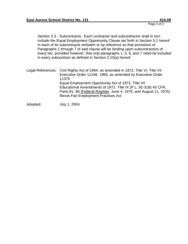Page 3 of 3

Section 3.3 - Subcontracts. Each contractor and subcontractor shall in turn include the Equal Employment Opportunity Clause set forth in Section 3.1 hereof in each of its subcontracts verbatim or by reference so that provisions of Paragraphs 1 through 7 of said clause will be binding upon subcontractors of every tier; provided however, that only paragraphs 1, 5, 6, and 7 need be included in every subcontract as defined in Section 2.10(a) hereof.

Legal References: Civil Rights Act of 1964, as amended in 1972, Title VI, Title VII Executive Order 11246, 1965, as amended by Executive Order 11375 Equal Employment Opportunity Act of 1972, Title VII Educational Amendments of 1972, Title IX (P.L. 92-318) 45 CFR, Parts 81, 86 (Federal Register, June 4, 1975, and August 11, 1975) Illinois Fair Employment Practices Act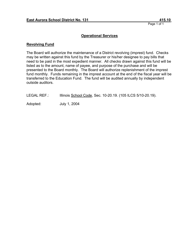## **Operational Services**

#### **Revolving Fund**

The Board will authorize the maintenance of a District revolving (imprest) fund. Checks may be written against this fund by the Treasurer or his/her designee to pay bills that need to be paid in the most expedient manner. All checks drawn against this fund will be listed as to the amount, name of payee, and purpose of the purchase and will be presented to the Board monthly. The Board will authorize replenishment of the imprest fund monthly. Funds remaining in the imprest account at the end of the fiscal year will be transferred to the Education Fund. The fund will be audited annually by independent outside auditors.

LEGAL REF.: Illinois School Code, Sec. 10-20.19. (105 ILCS 5/10-20.19).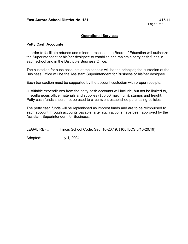## **Operational Services**

#### **Petty Cash Accounts**

In order to facilitate refunds and minor purchases, the Board of Education will authorize the Superintendent or his/her designee to establish and maintain petty cash funds in each school and in the District=s Business Office.

The custodian for such accounts at the schools will be the principal; the custodian at the Business Office will be the Assistant Superintendent for Business or his/her designee.

Each transaction must be supported by the account custodian with proper receipts.

Justifiable expenditures from the petty cash accounts will include, but not be limited to, miscellaneous office materials and supplies (\$50.00 maximum), stamps and freight. Petty cash funds should not be used to circumvent established purchasing policies.

The petty cash funds will be replenished as imprest funds and are to be reimbursed to each account through accounts payable, after such actions have been approved by the Assistant Superintendent for Business.

LEGAL REF.: Illinois School Code, Sec. 10-20.19. (105 ILCS 5/10-20.19).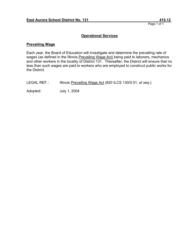# **Operational Services**

#### **Prevailing Wage**

Each year, the Board of Education will investigate and determine the prevailing rate of wages (as defined in the Illinois Prevailing Wage Act) being paid to laborers, mechanics and other workers in the locality of District 131. Thereafter, the District will ensure that no less than such wages are paid to workers who are employed to construct public works for the District.

LEGAL REF.: Illinois Prevailing Wage Act (820 ILCS 130/0.01, *et seq*.).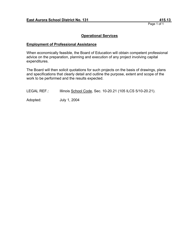# **Operational Services**

#### **Employment of Professional Assistance**

When economically feasible, the Board of Education will obtain competent professional advice on the preparation, planning and execution of any project involving capital expenditures.

The Board will then solicit quotations for such projects on the basis of drawings, plans and specifications that clearly detail and outline the purpose, extent and scope of the work to be performed and the results expected.

LEGAL REF.: Illinois School Code, Sec. 10-20.21 (105 ILCS 5/10-20.21).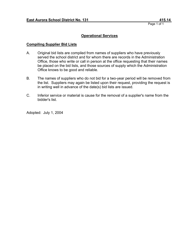# **Operational Services**

#### **Compiling Supplier Bid Lists**

- A. Original bid lists are compiled from names of suppliers who have previously served the school district and for whom there are records in the Administration Office, those who write or call in person at the office requesting that their names be placed on the bid lists, and those sources of supply which the Administration Office knows to be good and reliable.
- B. The names of suppliers who do not bid for a two-year period will be removed from the list. Suppliers may again be listed upon their request, providing the request is in writing well in advance of the date(s) bid lists are issued.
- C. Inferior service or material is cause for the removal of a supplier's name from the bidder's list.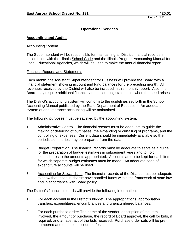# **Accounting and Audits**

#### Accounting System

The Superintendent will be responsible for maintaining all District financial records in accordance with the Illinois School Code and the Illinois Program Accounting Manual for Local Educational Agencies, which will be used to make the annual financial report.

#### Financial Reports and Statements

Each month, the Assistant Superintendent for Business will provide the Board with a financial statement showing account and fund balances for the preceding month. All revenues received by the District will also be included in this monthly report. Also, the Board may require additional financial and accounting statements when the need arises.

The District's accounting system will conform to the guidelines set forth in the School Accounting Manual published by the State Department of Education. An adequate system of encumbrance accounting will be maintained.

The following purposes must be satisfied by the accounting system:

- 1 . Administrative Control: The financial records must be adequate to guide the making or deferring of purchases, the expanding or curtailing of programs, and the controlling of expenses. Current data should be immediately available so that periodic summaries may be prepared from the data.
- 2. Budget Preparation: The financial records must be adequate to serve as a guide for the preparation of budget estimates in subsequent years and to hold expenditures to the amounts appropriated. Accounts are to be kept for each item for which separate budget estimates must be made. An adequate code of expenditure accounts will be used.
- 3 Accounting for Stewardship: The financial records of the District must be adequate to show that those in charge have handled funds within the framework of state law and in accordance with Board policy.

The District's financial records will provide the following information:

- 1. For each account in the District's budget: The appropriations, appropriation transfers, expenditures, encumbrances and unencumbered balances.
- 2. For each purchase order: The name of the vendor, description of the item involved, the amount of purchase, the record of Board approval, the call for bids, if required, and an abstract of the bids received. Purchase order sets will be prenumbered and each set accounted for.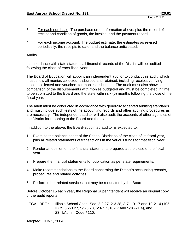- 3. For each purchase: The purchase order information above, plus the record of receipt and condition of goods, the invoice, and the payment record.
- 4. For each income account: The budget estimate, the estimates as revised periodically, the receipts to date, and the balance anticipated.

#### Audits

In accordance with state statutes, all financial records of the District will be audited following the close of each fiscal year.

The Board of Education will appoint an independent auditor to conduct this audit, which must show all monies collected, disbursed and retained, including receipts verifying monies collected and vouchers for monies disbursed. The audit must also show a comparison of the disbursements with monies budgeted and must be completed in time to be submitted to the Board and the state within six (6) months following the close of the fiscal year.

The audit must be conducted in accordance with generally accepted auditing standards and must include such tests of the accounting records and other auditing procedures as are necessary. The independent auditor will also audit the accounts of other agencies of the District for reporting to the Board and the state.

In addition to the above, the Board-appointed auditor is expected to:

- 1. Examine the balance sheet of the School District as of the close of its fiscal year, plus all related statements of transactions in the various funds for that fiscal year.
- 2. Render an opinion on the financial statements prepared at the close of the fiscal year.
- 3. Prepare the financial statements for publication as per state requirements.
- 4. Make recommendations to the Board concerning the District's accounting records, procedures and related activities.
- 5. Perform other related services that may be requested by the Board.

Before October 15 each year, the Regional Superintendent will receive an original copy of the audit reports.

LEGAL REF.: Illinois School Code, Sec. 2-3.27, 2-3.28, 3-7, 10-17 and 10-21.4 (105 ILCS 5/2-3.27, 5/2-3.28, 5/3-7, 5/10-17 and 5/10-21.4), and 23 Ill.Admin.Code '110.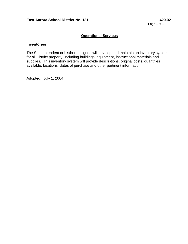# **Operational Services**

#### **Inventories**

The Superintendent or his/her designee will develop and maintain an inventory system for all District property, including buildings, equipment, instructional materials and supplies. This inventory system will provide descriptions, original costs, quantities available, locations, dates of purchase and other pertinent information.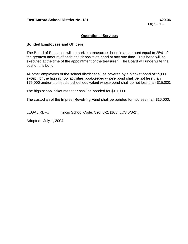# **Operational Services**

## **Bonded Employees and Officers**

The Board of Education will authorize a treasurer's bond in an amount equal to 25% of the greatest amount of cash and deposits on hand at any one time. This bond will be executed at the time of the appointment of the treasurer. The Board will underwrite the cost of this bond.

All other employees of the school district shall be covered by a blanket bond of \$5,000 except for the high school activities bookkeeper whose bond shall be not less than \$75,000 and/or the middle school equivalent whose bond shall be not less than \$15,000.

The high school ticket manager shall be bonded for \$10,000.

The custodian of the Imprest Revolving Fund shall be bonded for not less than \$16,000.

LEGAL REF.: Illinois School Code, Sec. 8-2. (105 ILCS 5/8-2).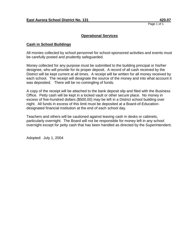# **Operational Services**

#### **Cash in School Buildings**

All monies collected by school personnel for school-sponsored activities and events must be carefully posted and prudently safeguarded.

Money collected for any purpose must be submitted to the building principal or his/her designee, who will provide for its proper deposit. A record of all cash received by the District will be kept current at all times. A receipt will be written for all money received by each school. The receipt will designate the source of the money and into what account it was deposited. There will be no comingling of funds.

A copy of the receipt will be attached to the bank deposit slip and filed with the Business Office. Petty cash will be kept in a locked vault or other secure place. No money in excess of five-hundred dollars (\$500.00) may be left in a District school building over night. All funds in excess of this limit must be deposited at a Board-of-Educationdesignated financial institution at the end of each school day.

Teachers and others will be cautioned against leaving cash in desks or cabinets, particularly overnight. The Board will not be responsible for money left in any school overnight except for petty cash that has been handled as directed by the Superintendent.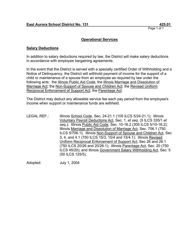# **Operational Services**

# **Salary Deductions**

In addition to salary deductions required by law, the District will make salary deductions in accordance with employee bargaining agreements.

In the event that the District is served with a specially certified Order of Withholding and a Notice of Delinquency, the District will withhold payment of income for the support of a child or maintenance of a spouse from an employee as required by law under the following acts: the Illinois Public Aid Code; the Illinois Marriage and Dissolution of Marriage Act; the Non-Support of Spouse and Children Act; the Revised Uniform Reciprocal Enforcement of Support Act; the Parentage Act.

The District may deduct any allowable service fee each pay period from the employee's income when support or maintenance funds are withheld.

LEGAL REF.: Illinois School Code, Sec. 24-21.1 (105 ILCS 5/24-21.1); Illinois Voluntary Payroll Deductions Act, Sec. 1, *et seq*. (5 ILCS 335/1 *et seq*.); Illinois Public Aid Code, Sec. 10-16.2 (305 ILCS 5/10-16.2); Illinois Marriage and Dissolution of Marriage Act, Sec. 706.1 (750 ILCS 5/706.1); Illinois Non-Support of Spouse and Children Act, Sec 3, 4, and 4.1 (750 ILCS 15/3, 15/4 and 15/4.1); Illinois Revised Uniform Reciprocal Enforcement of Support Act, Sec 26 and 26.1 (750 ILCS 20/26 and 20/26.1); Illinois Parentage Act, Sec. 20 (750 ILCS 45/20); and Illinois Government Salary Withholding Act, Sec. 5 (50 ILCS 125/5).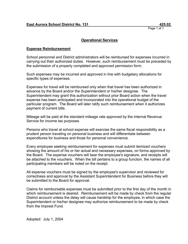# **Operational Services**

# **Expense Reimbursement**

School personnel and District administrators will be reimbursed for expenses incurred in carrying out their authorized duties. However, such reimbursement must be preceded by the submission of a properly completed and approved permission form.

Such expenses may be incurred and approved in line with budgetary allocations for specific types of expenses.

Expenses for travel will be reimbursed only when that travel has been authorized in advance by the Board and/or the Superintendent or his/her designee. The Superintendent may grant this authorization without prior Board action when the travel expense has been anticipated and incorporated into the operational budget of the particular program. The Board will later ratify such reimbursement when it authorizes payment of current bills.

Mileage will be paid at the standard mileage rate approved by the Internal Revenue Service for income tax purposes.

Persons who travel at school expense will exercise the same fiscal responsibility as a prudent person traveling on personal business and will differentiate between expenditures for business and those for personal convenience.

Every employee seeking reimbursement for expenses must submit itemized vouchers showing the amount of his or her actual and necessary expenses, on forms approved by the Board. The expense vouchers will bear the employee's signature, and receipts will be attached to the vouchers. When the bill pertains to a group function, the names of all participating members will be noted on the receipt.

All expense vouchers must be signed by the employee's supervisor and reviewed for correctness and approval by the Assistant Superintendent for Business before they will be submitted to the Board for approval.

Claims for reimbursable expenses must be submitted prior to the first day of the month in which reimbursement is desired. Reimbursement will be made by check from the regular District account unless the delay will cause hardship for the employee, in which case the Superintendent or his/her designee may authorize reimbursement to be made by check from the Imprest Fund.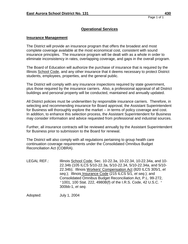# **Insurance Management**

The District will provide an insurance program that offers the broadest and most complete coverage available at the most economical cost, consistent with sound insurance principles. The insurance program will be dealt with as a whole in order to eliminate inconsistency in rates, overlapping coverage, and gaps in the overall program.

The Board of Education will authorize the purchase of insurance that is required by the Illinois School Code, and any other insurance that it deems necessary to protect District students, employees, properties, and the general public.

The District will comply with any insurance inspections required by state government, plus those required by the insurance carriers. Also, a professional appraisal of all District buildings and personal property will be conducted, maintained and annually updated.

All District policies must be underwritten by responsible insurance carriers. Therefore, in selecting and recommending insurance for Board approval, the Assistant Superintendent for Business will thoroughly explore the market -- in terms of policy coverage and cost. In addition, to enhance this selection process, the Assistant Superintendent for Business may consider information and advice requested from professional and industrial sources.

Further, all insurance contracts will be reviewed annually by the Assistant Superintendent for Business prior to submission to the Board for renewal.

The District will also comply with all regulations pertaining to group health care continuation coverage requirements under the Consolidated Omnibus Budget Reconciliation Act (COBRA).

LEGAL REF.: Illinois School Code, Sec. 10-22.3a, 10-22.34, 10-22.34a, and 10-22.34b (105 ILCS 5/10-22.3a, 5/10-22.34, 5/10-22.34a, and 5/10- 22.34b); Illinois Workers' Compensation Act (820 ILCS 305/1, *et seq*.); Illinois Insurance Code (215 ILCS 5/1, *et seq*.); and Consolidated Omnibus Budget Reconciliation Act, P.L. 99-272, '1001, 100 Stat. 222, 4980B(f) of the I.R.S. Code, 42 U.S.C. ' 300bb-1, *et seq*.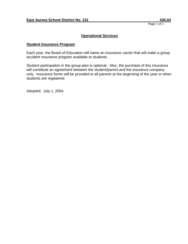# **Operational Services**

## **Student Insurance Program**

Each year, the Board of Education will name an insurance carrier that will make a group accident insurance program available to students.

Student participation in the group plan is optional. Also, the purchase of this insurance will constitute an agreement between the student/parent and the insurance company only. Insurance forms will be provided to all parents at the beginning of the year or when students are registered.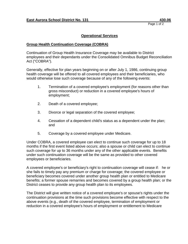## **Operational Services**

## **Group Health Continuation Coverage (COBRA)**

Continuation of Group Health Insurance Coverage may be available to District employees and their dependants under the Consolidated Omnibus Budget Reconciliation Act ("COBRA").

Generally, effective for plan years beginning on or after July 1, 1986, continuing group health coverage will be offered to all covered employees and their beneficiaries, who would otherwise lose such coverage because of any of the following events:

- 1. Termination of a covered employee's employment (for reasons other than gross misconduct) or reduction in a covered employee's hours of employment;
- 2. Death of a covered employee;
- 3. Divorce or legal separation of the covered employee;
- 4. Cessation of a dependent child's status as a dependent under the plan; and
- 5. Coverage by a covered employee under Medicare.

Under COBRA, a covered employee can elect to continue such coverage for up to 18 months if the first event listed above occurs; also a spouse or child can elect to continue such coverage for up to 36 months under any of the other applicable events. Benefits under such continuation coverage will be the same as provided to other covered employees or beneficiaries.

A covered employee's or beneficiary's right to continuation coverage will cease if: he or she fails to timely pay any premium or charge for coverage; the covered employee or beneficiary becomes covered under another group health plan or entitled to Medicare benefits; a former spouse remarries and becomes covered by a group health plan; or the District ceases to provide any group health plan to its employees.

The District will give written notice of a covered employee's or spouse's rights under the continuation provisions at the time such provisions become effective with respect to the above events (e.g., death of the covered employee, termination of employment or reduction in a covered employee's hours of employment or entitlement to Medicare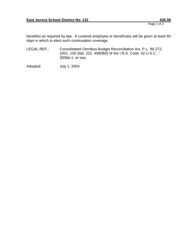Page 2 of 2

benefits) as required by law. A covered employee or beneficiary will be given at least 60 days in which to elect such continuation coverage.

LEGAL REF.: Consolidated Omnibus Budget Reconciliation Act, P.L. 99-272, 1001, 100 Stat. 222, 4980B(f) of the I.R.S. Code, 42 U.S.C. ' 300bb-1, *et seq*.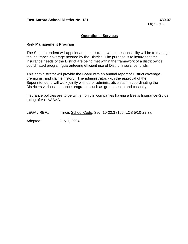## **Operational Services**

#### **Risk Management Program**

The Superintendent will appoint an administrator whose responsibility will be to manage the insurance coverage needed by the District. The purpose is to insure that the insurance needs of the District are being met within the framework of a district-wide coordinated program guaranteeing efficient use of District insurance funds.

This administrator will provide the Board with an annual report of District coverage, premiums, and claims history. The administrator, with the approval of the Superintendent, will work jointly with other administrative staff in coordinating the District=s various insurance programs, such as group health and casualty.

Insurance policies are to be written only in companies having a Best's Insurance-Guide rating of A+: AAAAA.

LEGAL REF.: Illinois School Code, Sec. 10-22.3 (105 ILCS 5/10-22.3).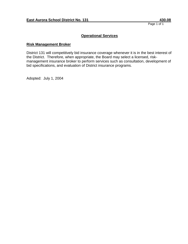# **Operational Services**

## **Risk Management Broker**

District 131 will competitively bid insurance coverage whenever it is in the best interest of the District. Therefore, when appropriate, the Board may select a licensed, riskmanagement insurance broker to perform services such as consultation, development of bid specifications, and evaluation of District insurance programs.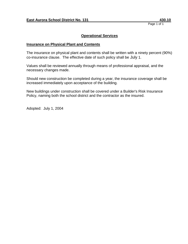# **Operational Services**

## **Insurance on Physical Plant and Contents**

The insurance on physical plant and contents shall be written with a ninety percent (90%) co-insurance clause. The effective date of such policy shall be July 1.

Values shall be reviewed annually through means of professional appraisal, and the necessary changes made.

Should new construction be completed during a year, the insurance coverage shall be increased immediately upon acceptance of the building.

New buildings under construction shall be covered under a Builder's Risk Insurance Policy, naming both the school district and the contractor as the insured.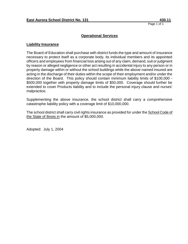# **Operational Services**

#### **Liability Insurance**

The Board of Education shall purchase with district funds the type and amount of insurance necessary to protect itself as a corporate body, its individual members and its appointed officers and employees from financial loss arising out of any claim, demand, suit or judgment by reason or alleged negligence or other act resulting in accidental injury to any person or in property damage within or without the school buildings while the above-named insured are acting in the discharge of their duties within the scope of their employment and/or under the direction of the Board. This policy should contain minimum liability limits of \$100,000 - \$500,000 together with property damage limits of \$50,000. Coverage should further be extended to cover Products liability and to include the personal injury clause and nurses' malpractice.

Supplementing the above insurance, the school district shall carry a comprehensive catastrophe liability policy with a coverage limit of \$10,000,000.

The school district shall carry civil rights insurance as provided for under the School Code of the State of llinois in the amount of \$5,000,000.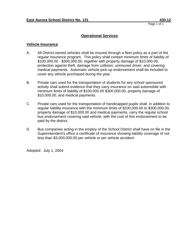## **Operational Services**

#### **Vehicle Insurance**

- A. All District-owned vehicles shall be insured through a fleet policy as a part of the regular insurance program. This policy shall contain minimum limits of liability of \$100,000.00 - \$300,000.00, together with property damage of \$10,000.00, protection against theft, damage from collision, uninsured driver, and covering medical payments. Automatic vehicle pick-up endorsement shall be included to cover any vehicle purchased during the year.
- B. Private cars used for the transportation of students for any school sponsored activity shall submit evidence that they carry insurance on said automobile with minimum limits of liability of \$100,000.00 \$300,000.00, property damage of \$10,000.00, and medical payments.
- C. Private cars used for the transportation of handicapped pupils shall, in addition to regular liability insurance with the minimum limits of \$100,000.00 to \$300,000.00, property damage of \$10,000.00 and medical payments, carry the regular school bus endorsement covering said vehicle, with the cost of this endorsement to be paid by the district.
- D. Bus companies acting in the employ of the School District shall have on file in the Superintendent's office a certificate of insurance showing liability coverage of not less than \$3,000,000.00 per vehicle or per vehicle accident.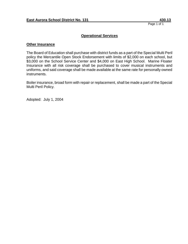# **Operational Services**

#### **Other Insurance**

The Board of Education shall purchase with district funds as a part of the Special Multi Peril policy the Mercantile Open Stock Endorsement with limits of \$2,000 on each school, but \$3,000 on the School Service Center and \$4,000 on East High School. Marine Floater Insurance with all risk coverage shall be purchased to cover musical instruments and uniforms, and said coverage shall be made available at the same rate for personally owned instruments.

Boiler insurance, broad form with repair or replacement, shall be made a part of the Special Multi Peril Policy.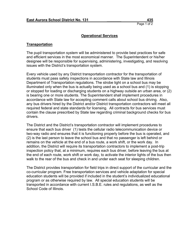## **Transportation**

The pupil transportation system will be administered to provide best practices for safe and efficient services in the most economical manner. The Superintendent or his/her designee will be responsible for supervising, administering, investigating, and resolving issues with the District's transportation system.

Every vehicle used by any District transportation contractor for the transportation of students must pass safety inspections in accordance with State law and Illinois Department of Transportation regulations. The strobe light on a school bus may be illuminated only when the bus is actually being used as a school bus and (1) is stopping or stopped for loading or discharging students on a highway outside an urban area, or (2) is bearing one or more students. The Superintendent shall implement procedures in accordance with State law for accepting comment calls about school bus driving. Also, any bus drivers hired by the District and/or District transportation contractors will meet all required federal and state standards for licensing. All contracts for bus services must contain the clause prescribed by State law regarding criminal background checks for bus drivers.

The District and the District's transportation contractor will implement procedures to ensure that each bus driver (1) tests the cellular radio telecommunication device or two-way radio and ensures that it is functioning properly before the bus is operated, and (2) is the last person to leave the school bus and that no passenger is left behind or remains on the vehicle at the end of a bus route, a work shift, or the work day. In addition, the District will require its transportation contractors to implement a post-trip inspection policy that, at a minimum, requires each bus driver, before leaving the bus at the end of each route, work shift or work day, to activate the interior lights of the bus then walk to the rear of the bus and check in and under each seat for sleeping children.

The District provides transportation for field trips in direct support of the curricular and the co-curricular program. Free transportation services and vehicle adaptation for special education students will be provided if included in the student's individualized educational program or as otherwise required by law. All special education students will be transported in accordance with current I.S.B.E. rules and regulations, as well as the School Code of Illinois.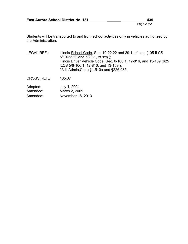Page 2 of2

Students will be transported to and from school activities only in vehicles authorized by the Administration.

LEGAL REF.: Illinois School Code, Sec. 10-22.22 and 29-1, *et seq.* (105 ILCS 5/10-22.22 and 5/29-1, *et seq*.); Illinois Driver Vehicle Code, Sec. 6-106.1, 12-816, and 13-109 (625 ILCS 5/6-106.1, 12-816, and 13-109.); 23 Ill.Admin.Code §1.510a and §226.935.

CROSS REF.: 465.07

| Adopted: | July 1, 2004      |
|----------|-------------------|
| Amended: | March 2, 2009     |
| Amended: | November 18, 2013 |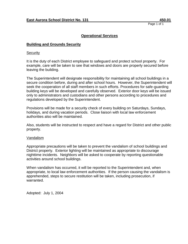# **Operational Services**

# **Building and Grounds Security**

**Security** 

It is the duty of each District employee to safeguard and protect school property. For example, care will be taken to see that windows and doors are properly secured before leaving the building.

The Superintendent will designate responsibility for maintaining all school buildings in a secure condition before, during and after school hours. However, the Superintendent will seek the cooperation of all staff members in such efforts. Procedures for safe-guarding building keys will be developed and carefully observed. Exterior door keys will be issued only to administrators and custodians and other persons according to procedures and regulations developed by the Superintendent.

Provisions will be made for a security check of every building on Saturdays, Sundays, holidays, and during vacation periods. Close liaison with local law enforcement authorities also will be maintained.

Also, students will be instructed to respect and have a regard for District and other public property.

#### Vandalism

Appropriate precautions will be taken to prevent the vandalism of school buildings and District property. Exterior lighting will be maintained as appropriate to discourage nighttime incidents. Neighbors will be asked to cooperate by reporting questionable activities around school buildings.

When vandalism has occurred, it will be reported to the Superintendent and, when appropriate, to local law enforcement authorities. If the person causing the vandalism is apprehended, steps to secure restitution will be taken, including prosecution, if warranted.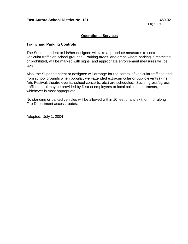# **Operational Services**

# **Traffic and Parking Controls**

The Superintendent or his/her designee will take appropriate measures to control vehicular traffic on school grounds. Parking areas, and areas where parking is restricted or prohibited, will be marked with signs, and appropriate enforcement measures will be taken.

Also, the Superintendent or designee will arrange for the control of vehicular traffic to and from school grounds when popular, well-attended extracurricular or public events (Fine Arts Festival, theatre events, school concerts, etc.) are scheduled. Such ingress/egress traffic control may be provided by District employees or local police departments, whichever is most appropriate.

No standing or parked vehicles will be allowed within 10 feet of any exit, or in or along Fire Department access routes.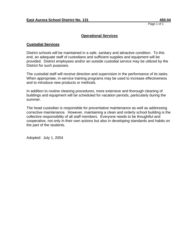# **Operational Services**

#### **Custodial Services**

District schools will be maintained in a safe, sanitary and attractive condition. To this end, an adequate staff of custodians and sufficient supplies and equipment will be provided. District employees and/or an outside custodial service may be utilized by the District for such purposes.

The custodial staff will receive direction and supervision in the performance of its tasks. When appropriate, in-service training programs may be used to increase effectiveness and to introduce new products or methods.

In addition to routine cleaning procedures, more extensive and thorough cleaning of buildings and equipment will be scheduled for vacation periods, particularly during the summer.

The head custodian is responsible for preventative maintenance as well as addressing corrective maintenance. However, maintaining a clean and orderly school building is the collective responsibility of all staff members. Everyone needs to be thoughtful and cooperative, not only in their own actions but also in developing standards and habits on the part of the students.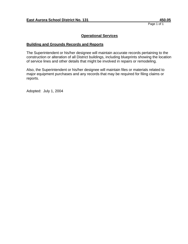# **Operational Services**

## **Building and Grounds Records and Reports**

The Superintendent or his/her designee will maintain accurate records pertaining to the construction or alteration of all District buildings, including blueprints showing the location of service lines and other details that might be involved in repairs or remodeling.

Also, the Superintendent or his/her designee will maintain files or materials related to major equipment purchases and any records that may be required for filing claims or reports.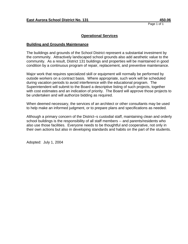## **Operational Services**

#### **Building and Grounds Maintenance**

The buildings and grounds of the School District represent a substantial investment by the community. Attractively landscaped school grounds also add aesthetic value to the community. As a result, District 131 buildings and properties will be maintained in good condition by a continuous program of repair, replacement, and preventive maintenance.

Major work that requires specialized skill or equipment will normally be performed by outside workers on a contract basis. Where appropriate, such work will be scheduled during vacation periods to avoid interference with the educational program. The Superintendent will submit to the Board a descriptive listing of such projects, together with cost estimates and an indication of priority. The Board will approve those projects to be undertaken and will authorize bidding as required.

When deemed necessary, the services of an architect or other consultants may be used to help make an informed judgment, or to prepare plans and specifications as needed.

Although a primary concern of the District=s custodial staff, maintaining clean and orderly school buildings is the responsibility of all staff members -- and parents/residents who also use those facilities. Everyone needs to be thoughtful and cooperative, not only in their own actions but also in developing standards and habits on the part of the students.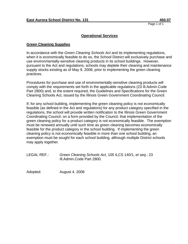## **Operational Services**

#### **Green Cleaning Supplies**

In accordance with the *Green Cleaning Schools Act* and its implementing regulations, when it is economically feasible to do so, the School District will exclusively purchase and use environmentally-sensitive cleaning products in its school buildings. However, pursuant to the Act and regulations, schools may deplete their cleaning and maintenance supply stocks existing as of May 9, 2008, prior to implementing the green cleaning practices.

Procedures for purchase and use of environmentally-sensitive cleaning products will comply with the requirements set forth in the applicable regulations (23 Ill.Admin.Code Part 2800) and, to the extent required, the Guidelines and Specifications for the Green Cleaning Schools Act, issued by the Illinois Green Government Coordinating Council.

If, for any school building, implementing the green cleaning policy is not economically feasible (as defined in the Act and regulations) for any product category specified in the regulations, the school will provide written notification to the Illinois Green Government Coordinating Council, on a form provided by the Council, that implementation of the green cleaning policy for a product category is not economically feasible. The exemption must be renewed annually until such time as green cleaning becomes economically feasible for the product category in the school building. If implementing the green cleaning policy is not economically feasible in more than one school building, an exemption must be sought for each school building, although multiple District schools may apply together.

LEGAL REF.: *Green Cleaning Schools Act*, 105 ILCS 140/1, *et seq.*; 23 Ill.Admin.Code Part 2800.

Adopted: August 4, 2008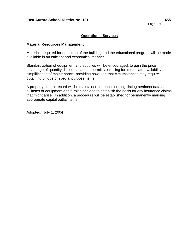# **Operational Services**

#### **Material Resources Management**

Materials required for operation of the building and the educational program will be made available in an efficient and economical manner.

Standardization of equipment and supplies will be encouraged, to gain the price advantage of quantity discounts, and to permit stockpiling for immediate availability and simplification of maintenance, providing however, that circumstances may require obtaining unique or special purpose items.

A property control record will be maintained for each building, listing pertinent data about all items of equipment and furnishings and to establish the basis for any insurance claims that might arise. In addition, a procedure will be established for permanently marking appropriate capital outlay items.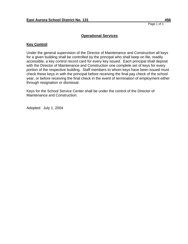# **Key Control**

Under the general supervision of the Director of Maintenance and Construction all keys for a given building shall be controlled by the principal who shall keep on file, readily accessible, a key control record card for every key issued. Each principal shall deposit with the Director of Maintenance and Construction one complete set of keys for every portion of the respective building. Staff members to whom keys have been issued must check these keys in with the principal before receiving the final pay check of the school year, or before receiving the final check in the event of termination of employment either through resignation or dismissal.

Keys for the School Service Center shall be under the control of the Director of Maintenance and Construction.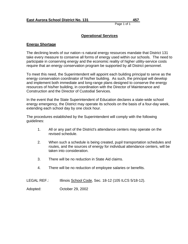# **Operational Services**

# **Energy Shortage**

The declining levels of our nation=s natural energy resources mandate that District 131 take every measure to conserve all forms of energy used within our schools. The need to participate in conserving energy and the economic reality of higher utility-service costs require that an energy conservation program be supported by all District personnel.

To meet this need, the Superintendent will appoint each building principal to serve as the energy conservation coordinator of his/her building. As such, the principal will develop and implement both immediate and long-range plans designed to conserve the energy resources of his/her building, in coordination with the Director of Maintenance and Construction and the Director of Custodial Services.

In the event that the State Superintendent of Education declares a state-wide school energy emergency, the District may operate its schools on the basis of a four-day week, extending each school day by one clock hour.

The procedures established by the Superintendent will comply with the following guidelines:

- 1. All or any part of the District's attendance centers may operate on the revised schedule.
- 2. When such a schedule is being created, pupil transportation schedules and routes, and the sources of energy for individual attendance centers, will be taken into consideration.
- 3. There will be no reduction in State Aid claims.
- 4. There will be no reduction of employee salaries or benefits.

| <b>LEGAL REF.:</b> |  | Illinois School Code, Sec. 18-12 (105 ILCS 5/18-12). |
|--------------------|--|------------------------------------------------------|
|--------------------|--|------------------------------------------------------|

Adopted: October 29, 2002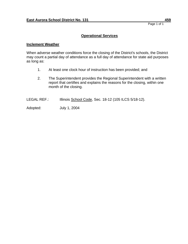#### **Inclement Weather**

When adverse weather conditions force the closing of the District's schools, the District may count a partial day of attendance as a full day of attendance for state aid purposes as long as:

- 1. At least one clock hour of instruction has been provided; and
- 2. The Superintendent provides the Regional Superintendent with a written report that certifies and explains the reasons for the closing, within one month of the closing.
- LEGAL REF.: Illinois School Code, Sec. 18-12 (105 ILCS 5/18-12).
- Adopted: July 1, 2004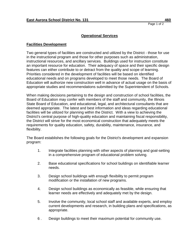# **Facilities Development**

Two general types of facilities are constructed and utilized by the District - those for use in the instructional program and those for other purposes such as administration, instructional resources, and ancillary services. Buildings used for instruction constitute an important resource for education. Their adequacy of space and their specific design features can either contribute to or detract from the quality and scope of learning. Priorities considered in the development of facilities will be based on identified educational needs and on programs developed to meet those needs. The Board of Education will authorize new construction well in advance of actual usage on the basis of appropriate studies and recommendations submitted by the Superintendent of Schools.

When making decisions pertaining to the design and construction of school facilities, the Board of Education may confer with members of the staff and community, the Illinois State Board of Education, and educational, legal, and architectural consultants that are deemed appropriate. The latest and best information and ideas regarding educational facilities will be utilized for planning within the District. With a view to achieving the District's central purpose of high-quality education and maintaining fiscal responsibility, the District will strive for the most economical construction that adequately meets the requirements for quality education, safety, durability, maintenance, insurance, and flexibility.

The Board establishes the following goals for the District's development and expansion program:

- 1. Integrate facilities planning with other aspects of planning and goal-setting in a comprehensive program of educational problem solving.
- 2. Base educational specifications for school buildings on identifiable learner needs.
- 3. Design school buildings with enough flexibility to permit program modification or the installation of new programs.
- 4. Design school buildings as economically as feasible, while ensuring that learner needs are effectively and adequately met by the design.
- 5. Involve the community, local school staff and available experts, and employ current developments and research, in building plans and specifications, as appropriate.
- 6 . Design buildings to meet their maximum potential for community use.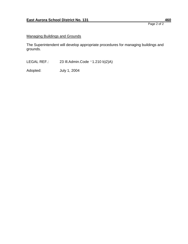# Page 2 of 2

# Managing Buildings and Grounds

The Superintendent will develop appropriate procedures for managing buildings and grounds.

LEGAL REF.: 23 Ill.Admin.Code '1.210 b)2)A)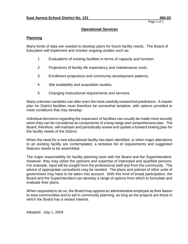## **Planning**

Many kinds of data are needed to develop plans for future facility needs. The Board of Education will implement and monitor ongoing studies such as:

- 1. Evaluations of existing facilities in terms of capacity and function.
- *2.* Projections of facility life expectancy and maintenance costs.
- 3. Enrollment projections and community development patterns.
- 4. Site availability and acquisition studies.
- 5. Changing instructional requirements and services.

Many unknown variables can alter even the most carefully researched predictions. A master plan for District facilities must therefore be somewhat tentative, with options provided to meet conditions that may develop.

Individual decisions regarding the expansion of facilities can usually be made most soundly when they can be considered as components of a long-range and comprehensive plan. The Board, therefore, will maintain and periodically review and update a forward looking plan for the facility needs of the District.

When the need for a new educational facility has been identified, or when major alterations to an existing facility are contemplated, a tentative list of requirements and suggested features needs to be assembled.

The major responsibility for facility planning rests with the Board and the Superintendent. However, they may utilize the opinions and expertise of interested and qualified persons. For example, input will be sought from the professional staff and from the community. The advice of appropriate consultants may be needed. The plans and policies of other units of government may have to be taken into account. With this kind of broad participation, the Board and the Superintendent can develop a range of options from which to formulate and evaluate their plans.

When requested to do so, the Board may appoint an administrative employee as their liaison to area communities and to aid in community planning, as long as the projects are those in which the Board has a vested interest.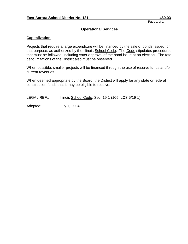# **Capitalization**

Projects that require a large expenditure will be financed by the sale of bonds issued for that purpose, as authorized by the Illinois School Code. The Code stipulates procedures that must be followed, including voter approval of the bond issue at an election. The total debt limitations of the District also must be observed.

When possible, smaller projects will be financed through the use of reserve funds and/or current revenues.

When deemed appropriate by the Board, the District will apply for any state or federal construction funds that it may be eligible to receive.

LEGAL REF.: Illinois School Code, Sec. 19-1 (105 ILCS 5/19-1).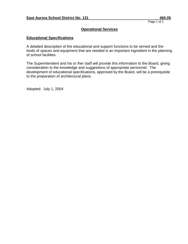# **Educational Specifications**

A detailed description of the educational and support functions to be served and the kinds of spaces and equipment that are needed is an important ingredient in the planning of school facilities.

The Superintendent and his or /her staff will provide this information to the Board, giving consideration to the knowledge and suggestions of appropriate personnel. The development of educational specifications, approved by the Board, will be a prerequisite to the preparation of architectural plans.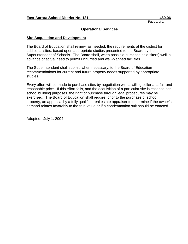### **Site Acquisition and Development**

The Board of Education shall review, as needed, the requirements of the district for additional sites, based upon appropriate studies presented to the Board by the Superintendent of Schools. The Board shall, when possible purchase said site(s) well in advance of actual need to permit unhurried and well-planned facilities.

The Superintendent shall submit, when necessary, to the Board of Education recommendations for current and future property needs supported by appropriate studies.

Every effort will be made to purchase sites by negotiation with a willing seller at a fair and reasonable price. If this effort fails, and the acquisition of a particular site is essential for school building purposes, the right of purchase through legal procedures may be exercised. The Board of Education shall require, prior to the purchase of school property, an appraisal by a fully qualified real estate appraiser to determine if the owner's demand relates favorably to the true value or if a condemnation suit should be enacted.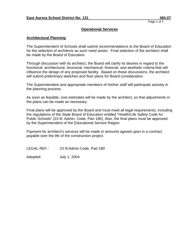### **Architectural Planning**

The Superintendent of Schools shall submit recommendations to the Board of Education for the selection of architects as such need arises. Final selection of the architect shall be made by the Board of Education.

Through discussion with its architect, the Board will clarify its desires in regard to the functional, architectural, structural, mechanical, financial, and aesthetic criteria that will influence the design of any proposed facility. Based on these discussions, the architect will submit preliminary sketches and floor plans for Board consideration.

The Superintendent and appropriate members of his/her staff will participate actively in the planning process.

As soon as feasible, cost estimates will be made by the architect, so that adjustments in the plans can be made as necessary.

Final plans will be approved by the Board and must meet all legal requirements, including the regulations of the State Board of Education entitled "Health/Life Safety Code for Public Schools" (23 Ill. Admin. Code, Part 180). Also, the final plans must be approved by the Superintendent of the Educational Service Region.

Payment for architect's services will be made in amounts agreed upon in a contract payable over the life of the construction project.

LEGAL REF.: 23 Ill.Admin.Code, Part 180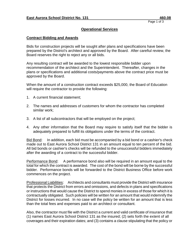### **Contract Bidding and Awards**

Bids for construction projects will be sought after plans and specifications have been prepared by the District's architect and approved by the Board. After carefiul review, the Board reserves the right to reject any or all bids.

Any resulting contract will be awarded to the lowest responsible bidder upon recommendation of the architect and the Superintendent. Thereafter, changes in the plans or specifications and additional costs/payments above the contract price must be approved by the Board.

When the amount of a construction contract exceeds \$25,000, the Board of Education will require the contractor to provide the following:

- 1. A current financial statement;
- 2. The names and addresses of customers for whom the contractor has completed similar work;
- 3. A list of all subcontractors that will be employed on the project;
- 4. Any other information that the Board may require to satisfy itself that the bidder is adequately prepared to fulfill its obligations under the terms of the contract.

Bid Bond: In addition, each bid must be accompanied by a bid bond or a cashier's check made out to East Aurora School District 131 in an amount equal to ten percent of the bid. All bid bonds or cashier's checks will be refunded to the unsuccessful bidders immediately after the awarding of a contract to the successful bidder.

Performance Bond: A performance bond also will be required in an amount equal to the total for which the contract is awarded. The cost of the bond will be borne by the successful bidder. Performance bonds will be forwarded to the District Business Office before work commences on the project.

Professional Liabilities: Architects and consultants must provide the District with insurance that protects the District from errors and omissions, and defects in plans and specifications or instructions that would cause the District to spend monies in excess of those for which it is contractually obligated. Such policies will be written for an amount that would indemnify the District for losses incurred. In no case will the policy be written for an amount that is less than the total fees and expenses paid to an architect or consultant.

Also, the contractor must file with the District a current and valid certificate of insurance that (1) names East Aurora School District 131 as the insured; (2) sets forth the extent of all coverages and their expiration dates; and (3) contains a clause stipulating that the policy or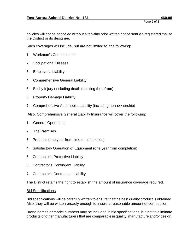policies will not be canceled without a ten-day prior written notice sent via registered mail to the District or its designee.

Such coverages will include, but are not limited to, the following:

- 1. Workman's Compensation
- 2. Occupational Disease
- 3. Employer's Liability
- 4. Comprehensive General Liability
- 5. Bodily Injury (including death resulting therefrom)
- 6. Property Damage Liability
- 7. Comprehensive Automobile Liability (including non-ownership)

Also, Comprehensive General Liability Insurance will cover the following:

- 1. General Operations
- 2. The Premises
- 3. Products (one year from time of completion)
- 4. Satisfactory Operation of Equipment (one year from completion)
- 5. Contractor's Protective Liability
- 6. Contractor's Contingent Liability
- 7. Contractor's Contractual Liability

The District retains the right to establish the amount of insurance coverage required.

#### Bid Specifications:

Bid specifications will be carefully written to ensure that the best quality product is obtained. Also, they will be written broadly enough to insure a reasonable amount of competition.

Brand names or model numbers may be included in bid specifications, but not to eliminate products of other manufacturers that are comparable in quality, manufacture and/or design.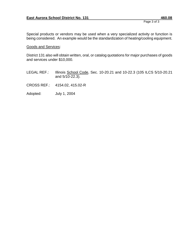Page 3 of 3

Special products or vendors may be used when a very specialized activity or function is being considered. An example would be the standardization of heating/cooling equipment.

#### Goods and Services:

District 131 also will obtain written, oral, or catalog quotations for major purchases of goods and services under \$10,000.

- LEGAL REF.: Illinois School Code, Sec. 10-20.21 and 10-22.3 (105 ILCS 5/10-20.21 and 5/10-22.3).
- CROSS REF.: 4154.02, 415.02-R
- Adopted: July 1, 2004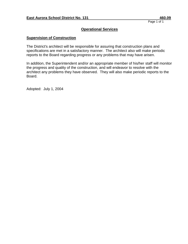### **Supervision of Construction**

The District's architect will be responsible for assuring that construction plans and specifications are met in a satisfactory manner. The architect also will make periodic reports to the Board regarding progress or any problems that may have arisen.

In addition, the Superintendent and/or an appropriate member of his/her staff will monitor the progress and quality of the construction, and will endeavor to resolve with the architect any problems they have observed. They will also make periodic reports to the Board.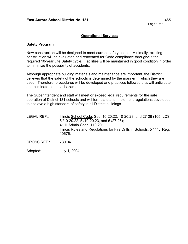### **Operational Services**

#### **Safety Program**

New construction will be designed to meet current safety codes. Minimally, existing construction will be evaluated and renovated for Code compliance throughout the required 10-year Life Safety cycle. Facilities will be maintained in good condition in order to minimize the possibility of accidents.

Although appropriate building materials and maintenance are important, the District believes that the safety of the schools is determined by the manner in which they are used. Therefore, procedures will be developed and practices followed that will anticipate and eliminate potential hazards.

The Superintendent and staff will meet or exceed legal requirements for the safe operation of District 131 schools and will formulate and implement regulations developed to achieve a high standard of safety in all District buildings.

- LEGAL REF.: Illinois School Code, Sec. 10-20.22, 10-20.23, and 27-26 (105 ILCS 5 /10-20.22, 5 /10-20.23, and 5 /27-26); 41 Ill.Admin.Code '110.20; Illinois Rules and Regulations for Fire Drills in Schools, 5 111. Reg. 10676.
- CROSS REF.: 730.04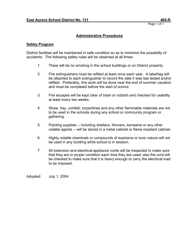## **Administrative Procedures**

### **Safety Program**

District facilities will be maintained in safe condition so as to minimize the possibility of accidents. The following safety rules will be observed at all times:

- 1. There will be no smoking in the school buildings or on District property.
- 2. Fire extinguishers must be refilled at least once each year. A label/tag will be attached to each extinguisher to record the date it was last tested and/or refilled. Preferably, this work will be done near the end of summer vacation and must be completed before the start of school.
- 3. Fire escapes will be kept clear of trash or rubbish and checked for usability at least every two weeks.
- 4. Straw, hay, confetti, turpentines and any other flammable materials are not to be used in the schools during any school or community program or gathering.
- 5. Painting supplies -- including shellacs, thinners, kerosene or any other volatile agents -- will be stored in a metal cabinet or flame resistant cabinet.
- 6. Highly volatile chemicals or compounds of explosive or toxic nature will not be used in any building while school is in session.
- 7. All extension and electrical-appliance cords will be inspected to make sure that they are in proper condition each time they are used; also the cord will be checked to make sure that it is heavy enough to carry the electrical load to be imposed.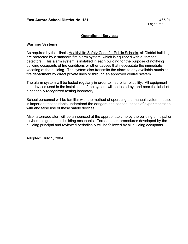## **Operational Services**

#### **Warning Systems**

As required by the Illinois Health/Life Safety Code for Public Schools, all District buildings are protected by a standard fire alarm system, which is equipped with automatic detectors. This alarm system is installed in each building for the purpose of notifying building occupants of fire conditions or other causes that necessitate the immediate vacating of the building. The system also transmits the alarm to any available municipal fire department by direct private lines or through an approved central system.

The alarm system will be tested regularly in order to insure its reliability. All equipment and devices used in the installation of the system will be tested by, and bear the label of a nationally recognized testing laboratory.

School personnel will be familiar with the method of operating the manual system. It also is important that students understand the dangers and consequences of experimentation with and false use of these safety devices.

Also, a tornado alert will be announced at the appropriate time by the building principal or his/her designee to all building occupants. Tornado alert procedures developed by the building principal and reviewed periodically will be followed by all building occupants.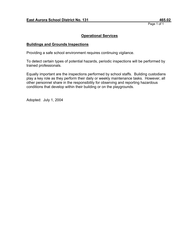## **Operational Services**

### **Buildings and Grounds Inspections**

Providing a safe school environment requires continuing vigilance.

To detect certain types of potential hazards, periodic inspections will be performed by trained professionals.

Equally important are the inspections performed by school staffs. Building custodians play a key role as they perform their daily or weekly maintenance tasks. However, all other personnel share in the responsibility for observing and reporting hazardous conditions that develop within their building or on the playgrounds.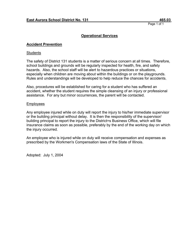## **Operational Services**

### **Accident Prevention**

#### **Students**

The safety of District 131 students is a matter of serious concern at all times. Therefore, school buildings and grounds will be regularly inspected for health, fire, and safety hazards. Also, the school staff will be alert to hazardous practices or situations, especially when children are moving about within the buildings or on the playgrounds. Rules and understandings will be developed to help reduce the chances for accidents.

Also, procedures will be established for caring for a student who has suffered an accident, whether the student requires the simple cleansing of an injury or professional assistance. For any but minor occurrences, the parent will be contacted.

#### Employees

Any employee injured while on duty will report the injury to his/her immediate supervisor or the building principal without delay. It is then the responsibility of the supervisor/ building principal to report the injury to the District=s Business Office, which will file insurance claims as soon as possible, preferably by the end of the working day on which the injury occurred.

An employee who is injured while on duty will receive compensation and expenses as prescribed by the Workmen's Compensation laws of the State of Illinois.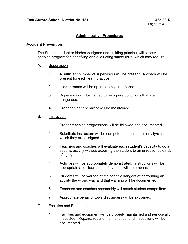## **Administrative Procedures**

### **Accident Prevention**

- I. The Superintendent or his/her designee and building principal will supervise an ongoing program for identifying and evaluating safety risks, which may require:
	- A. Supervision
		- 1. A sufficient number of supervisors will be present. A coach will be present for each team practice.
		- 2. Locker rooms will be appropriately supervised.
		- 3. Supervisors will be trained to recognize conditions that are dangerous.
		- 4. Proper student behavior will be maintained.
	- B. Instruction
		- 1. Proper teaching progressions will be followed and documented.
		- 2. Substitute instructors will be competent to teach the activity/class to which they are assigned.
		- 3. Teachers and coaches will evaluate each student's capacity to do a specific activity without exposing the student to an unreasonable risk of injury.
		- 4. Activities will be appropriately demonstrated. Instructions will be appropriate and clear, and safety rules will be emphasized.
		- 5. Students will be warned of the specific dangers of performing an activity the wrong way and that warning will be documented.
		- 6. Teachers and coaches reasonably will match student competitors.
		- 7. Appropriate behavior toward strangers will be explained.
	- C. Facilities and Equipment
		- 1. Facilities and equipment will be properly maintained and periodically inspected. Repairs, routine maintenance, and inspections will be documented.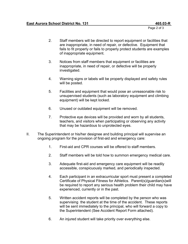Page 2 of 3

- 2. Staff members will be directed to report equipment or facilities that are inappropriate, in need of repair, or defective. Equipment that fails to fit properly or fails to properly protect students are examples of inappropriate equipment.
- 3. Notices from staff members that equipment or facilities are inappropriate, in need of repair, or defective will be properly investigated.
- 4. Warning signs or labels will be properly displayed and safety rules will be posted.
- 5. Facilities and equipment that would pose an unreasonable risk to unsupervised students (such as laboratory equipment and climbing equipment) will be kept locked.
- 6. Unused or outdated equipment will be removed.
- 7. Protective eye devices will be provided and worn by all students, teachers, and visitors when participating or observing any activity that may be hazardous to unprotected eyes.
- II. The Superintendent or his/her designee and building principal will supervise an ongoing program for the provision of first-aid and emergency care:
	- 1. First-aid and CPR courses will be offered to staff members.
	- 2. Staff members will be told how to summon emergency medical care.
	- 3. Adequate first-aid and emergency care equipment will be readily accessible, conspicuously marked, and periodically inspected.
	- 4. Each participant in an extracurricular sport must present a completed Certificate of Physical Fitness for Athletics. Parent(s)/guardian(s)will be required to report any serious health problem their child may have experienced, currently or in the past.
	- 5. Written accident reports will be completed by the person who was supervising the student at the time of the accident. These reports will be sent immediately to the principal, who will forward a copy to the Superintendent (See Accident Report Form attached).
	- 6. An injured student will take priority over everything else.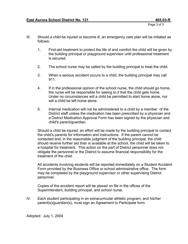Page 3 of 3

- III. Should a child be injured or become ill, an emergency care plan will be initiated as follows:
	- 1. First-aid treatment to protect the life of and comfort the child will be given by the building principal or playground supervisor until professional treatment is secured.
	- 2. The school nurse may be called by the building principal to treat the child.
	- 3. When a serious accident occurs to a child, the building principal may call 911.
	- 4. If in the professional opinion of the school nurse, the child should go home, the nurse will be responsible for seeing to it that the child gets home. Under no circumstances will a child be permitted to start home alone, nor will a child be left home alone.
	- 5. Internal medication will not be administered to a child by a member of the District staff unless the medication has been prescribed by a physician and a District Medication Approval Form has been signed by the physician and child's parent/guardian.

Should a child be injured, an effort will be made by the building principal to contact the child's parents for information and instructions. If the parent cannot be contacted and, in the reasonable judgment of the building principal, the child should receive further aid than is available at the school, the child will be taken to a hospital for treatment. This action on the part of District personnel does not obligate the personnel or the District to assume financial responsibility for the treatment of the child.

All accidents involving students will be reported immediately on a Student Accident Form provided by the Business Office or school administrative office. The form may be completed by the playground supervisor or other supervising District personnel.

Copies of the accident report will be placed on file in the offices of the Superintendent, building principal, and school nurse.

IV. Each student participating in an extracurricular athletic program, and his/her parent(s)/guardian(s), must sign an Agreement to Participate form.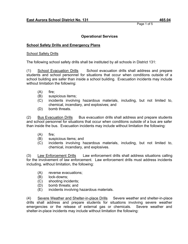## **Operational Services**

### **School Safety Drills and Emergency Plans**

### School Safety Drills

The following school safety drills shall be instituted by all schools in District 131:

(1) School Evacuation Drills School evacuation drills shall address and prepare students and school personnel for situations that occur when conditions outside of a school building are safer than inside a school building. Evacuation incidents may include without limitation the following:

- (A) fire;
- (B) suspicious items;
- (C) incidents involving hazardous materials, including, but not limited to, chemical, incendiary, and explosives; and
- (D) bomb threats.

(2) Bus Evacuation Drills Bus evacuation drills shall address and prepare students and school personnel for situations that occur when conditions outside of a bus are safer than inside the bus. Evacuation incidents may include without limitation the following:

- (A) fire;
- (B) suspicious items; and
- (C) incidents involving hazardous materials, including, but not limited to, chemical, incendiary, and explosives.

(3) Law Enforcement Drills Law enforcement drills shall address situations calling for the involvement of law enforcement. Law enforcement drills must address incidents including, without limitation, the following:

- (A) reverse evacuations;
- (B) lock-downs;
- (C) shooting incidents;
- (D) bomb threats; and
- (E) incidents involving hazardous materials.

(4) Severe Weather and Shelter-in-place Drills Severe weather and shelter-in-place drills shall address and prepare students for situations involving severe weather emergencies or the release of external gas or chemicals. Severe weather and shelter-in-place incidents may include without limitation the following: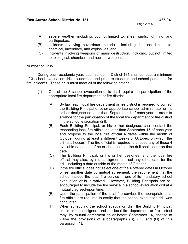- (A) severe weather, including, but not limited to, shear winds, lightning, and earthquakes;
- (B) incidents involving hazardous materials, including, but not limited to, chemical, incendiary, and explosives; and
- (C) incidents involving weapons of mass destruction, including, but not limited to, biological, chemical, and nuclear weapons.

### Number of Drills

During each academic year, each school in District 131 shall conduct a minimum of 3 school evacuation drills to address and prepare students and school personnel for fire incidents. These drills must meet all of the following criteria:

- (1) One of the 3 school evacuation drills shall require the participation of the appropriate local fire department or fire district.
	- (A) By law, each local fire department or fire district is required to contact the Building Principal or other appropriate school administrator or his or her designee no later than September 1 of each year in order to arrange for the participation of the local fire department or fire district in the school evacuation drill.
	- (B) Each Building Principal, or his or her designee, shall contact the responding local fire official no later than September 15 of each year and propose to the local fire official 4 dates within the month of October, during at least 2 different weeks of October, on which the drill shall occur. The fire official is required to choose any of those 4 available dates, and if he or she does so, the drill shall occur on that date.
	- (C) The Building Principal, or his or her designee, and the local fire official may also, by mutual agreement, set any other date for the drill, including a date outside of the month of October.
	- (D) If the fire official does not select one of the 4 offered dates in October or set another date by mutual agreement, the requirement that the school include the local fire service in one of its mandatory school evacuation drills is waived. However, Building Principals are still encouraged to include the fire service in a school evacuation drill at a mutually agreed-upon time.
	- (E) Upon the participation of the local fire service, the appropriate local fire official are required to certify that the school evacuation drill was conducted.
	- (F) When scheduling the school evacuation drill, the Building Principal, or his or her designee, and the local fire department or fire district may, by mutual agreement on or before September 14, choose to waive the provisions of subparagraphs (B), (C), and (D) of this paragraph (1).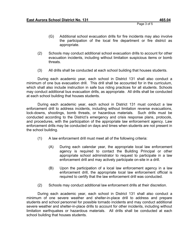Page 3 of 5

- (G) Additional school evacuation drills for fire incidents may also involve the participation of the local fire department or fire district as appropriate.
- (2) Schools may conduct additional school evacuation drills to account for other evacuation incidents, including without limitation suspicious items or bomb threats.
- (3) All drills shall be conducted at each school building that houses students.

During each academic year, each school in District 131 shall also conduct a minimum of one bus evacuation drill. This drill shall be accounted for in the curriculum, which shall also include instruction in safe bus riding practices for all students. Schools may conduct additional bus evacuation drills, as appropriate. All drills shall be conducted at each school building that houses students.

During each academic year, each school in District 131 must conduct a law enforcement drill to address incidents, including without limitation reverse evacuations, lock-downs, shootings, bomb threats, or hazardous materials. Such drills must be conducted according to the District's emergency and crisis response plans, protocols, and procedures, with the participation of the appropriate law enforcement agency. Law enforcement drills may be conducted on days and times when students are not present in the school building.

- (1) A law enforcement drill must meet all of the following criteria:
	- (A) During each calendar year, the appropriate local law enforcement agency is required to contact the Building Principal or other appropriate school administrator to request to participate in a law enforcement drill and may actively participate on-site in a drill.
	- (B) Upon the participation of a local law enforcement agency in a law enforcement drill, the appropriate local law enforcement official is required to certify that the law enforcement drill was conducted.
- (2) Schools may conduct additional law enforcement drills at their discretion.

During each academic year, each school in District 131 shall also conduct a minimum of one severe weather and shelter-in-place drill to address and prepare students and school personnel for possible tornado incidents and may conduct additional severe weather and shelter-in-place drills to account for other incidents, including without limitation earthquakes or hazardous materials. All drills shall be conducted at each school building that houses students.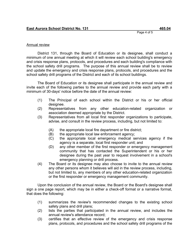Page 4 of 5

## Annual review

District 131, through the Board of Education or its designee, shall conduct a minimum of one annual meeting at which it will review each school building's emergency and crisis response plans, protocols, and procedures and each building's compliance with the school safety drill programs. The purpose of this annual review shall be to review and update the emergency and crisis response plans, protocols, and procedures and the school safety drill programs of the District and each of its school buildings.

The Board of Education or its designee shall participate in the annual review and invite each of the following parties to the annual review and provide each party with a minimum of 30-days' notice before the date of the annual review:

- (1) The Principal of each school within the District or his or her official designee.
- (2) Representatives from any other education-related organization or association deemed appropriate by the District.
- (3) Representatives from all local first responder organizations to participate, advise, and consult in the review process, including, but not limited to:
	- (A) the appropriate local fire department or fire district;
	- (B) the appropriate local law enforcement agency;
	- (C) the appropriate local emergency medical services agency if the agency is a separate, local first responder unit; and
	- (D) any other member of the first responder or emergency management community that has contacted the Superintendent or his or her designee during the past year to request involvement in a school's emergency planning or drill process.
- (4) The Board or its designee may also choose to invite to the annual review any other persons whom it believes will aid in the review process, including, but not limited to, any members of any other education-related organization or the first responder or emergency management community.

Upon the conclusion of the annual review, the Board or the Board's designee shall sign a one page report, which may be in either a check-off format or a narrative format, that does the following:

- (1) summarizes the review's recommended changes to the existing school safety plans and drill plans;
- (2) lists the parties that participated in the annual review, and includes the annual review's attendance record;
- (3) certifies that an effective review of the emergency and crisis response plans, protocols, and procedures and the school safety drill programs of the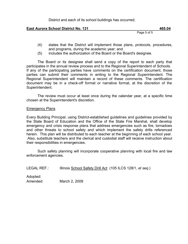District and each of its school buildings has occurred;

### **East Aurora School District No. 131** 465.04

Page 5 of 5

- (4) states that the District will implement those plans, protocols, procedures, and programs, during the academic year; and
- (5) includes the authorization of the Board or the Board's designee.

The Board or its designee shall send a copy of the report to each party that participates in the annual review process and to the Regional Superintendent of Schools. If any of the participating parties have comments on the certification document, those parties can submit their comments in writing to the Regional Superintendent. The Regional Superintendent will maintain a record of these comments. The certification document may be in a check-off format or narrative format, at the discretion of the Superintendent.

The review must occur at least once during the calendar year, at a specific time chosen at the Superintendent's discretion.

#### Emergency Plans

Every Building Principal, using District-established guidelines and guidelines provided by the State Board of Education and the Office of the State Fire Marshal, shall develop emergency and crisis response plans that address emergencies such as fire, tornadoes and other threats to school safety and which implement the safety drills referenced herein. This plan will be distributed to each teacher at the beginning of each school year. Also, substitute teachers and the clerical and custodial staff will receive instruction about their responsibilities in emergencies.

Such safety planning will incorporate cooperative planning with local fire and law enforcement agencies.

LEGAL REF.: Illinois School Safety Drill Act (105 ILCS 128/1, *et seq*.)

Adopted: Amended: March 2, 2009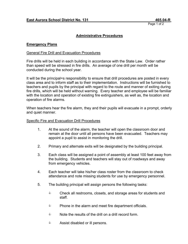### **Administrative Procedures**

### **Emergency Plans**

#### General Fire Drill and Evacuation Procedures

Fire drills will be held in each building in accordance with the State Law. Order rather than speed will be stressed in fire drills. An average of one drill per month will be conducted during the school year.

It will be the principal=s responsibility to ensure that drill procedures are posted in every class area and to inform staff as to their implementation. Instructions will be furnished to teachers and pupils by the principal with regard to the route and manner of exiting during fire drills, which will be held without warning. Every teacher and employee will be familiar with the location and operation of existing fire extinguishers, as well as, the location and operation of fire alarms.

When teachers hear the fire alarm, they and their pupils will evacuate in a prompt, orderly and quiet manner.

#### Specific Fire and Evacuation Drill Procedures

- 1. At the sound of the alarm, the teacher will open the classroom door and remain at the door until all persons have been evacuated. Teachers may appoint a pupil to assist in monitoring the drill.
- 2. Primary and alternate exits will be designated by the building principal.
- 3. Each class will be assigned a point of assembly at least 100 feet away from the building. Students and teachers will stay out of roadways and away from emergency vehicles.
- 4. Each teacher will take his/her class roster from the classroom to check attendance and note missing students for use by emergency personnel.
- 5. The building principal will assign persons the following tasks:
	- $\Diamond$  Check all restrooms, closets, and storage areas for students and staff.
	- **EXECUTE:** Phone in the alarm and meet fire department officials.
	- $\Diamond$  Note the results of the drill on a drill record form.
	- $\Diamond$  Assist disabled or ill persons.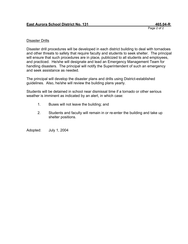Page 2 of 2

### Disaster Drills

Disaster drill procedures will be developed in each district building to deal with tornadoes and other threats to safety that require faculty and students to seek shelter. The principal will ensure that such procedures are in place, publicized to all students and employees, and practiced. He/she will designate and lead an Emergency Management Team for handling disasters. The principal will notify the Superintendent of such an emergency and seek assistance as needed.

The principal will develop the disaster plans and drills using District-established guidelines. Also, he/she will review the building plans yearly.

Students will be detained in school near dismissal time if a tornado or other serious weather is imminent as indicated by an alert, in which case:

- 1. Buses will not leave the building; and
- 2. Students and faculty will remain in or re-enter the building and take up shelter positions.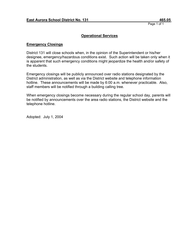### **Operational Services**

### **Emergency Closings**

District 131 will close schools when, in the opinion of the Superintendent or his/her designee, emergency/hazardous conditions exist. Such action will be taken only when it is apparent that such emergency conditions might jeopardize the health and/or safety of the students.

Emergency closings will be publicly announced over radio stations designated by the District administration, as well as via the District website and telephone information hotline. These announcements will be made by 6:00 a.m. whenever practicable. Also, staff members will be notified through a building calling tree.

When emergency closings become necessary during the regular school day, parents will be notified by announcements over the area radio stations, the District website and the telephone hotline.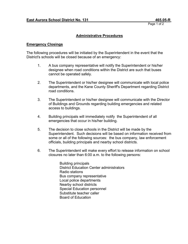## **Administrative Procedures**

#### **Emergency Closings**

The following procedures will be initiated by the Superintendent in the event that the District's schools will be closed because of an emergency:

- 1. A bus company representative will notify the Superintendent or his/her designee when road conditions within the District are such that buses cannot be operated safely.
- 2. The Superintendent or his/her designee will communicate with local police departments, and the Kane County Sheriff's Department regarding District road conditions.
- 3. The Superintendent or his/her designee will communicate with the Director of Buildings and Grounds regarding building emergencies and related access to buildings.
- 4. Building principals will immediately notify the Superintendent of all emergencies that occur in his/her building.
- 5. The decision to close schools in the District will be made by the Superintendent. Such decisions will be based on information received from some or all of the following sources: the bus company, law enforcement officials, building principals and nearby school districts.
- 6. The Superintendent will make every effort to release information on school closures no later than 6:00 a.m. to the following persons:

Building principals District Education Center administrators Radio stations Bus company representative Local police departments Nearby school districts Special Education personnel Substitute teacher caller Board of Education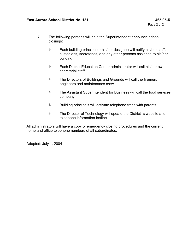Page 2 of 2

- 7. The following persons will help the Superintendent announce school closings:
	- $\bullet$  Each building principal or his/her designee will notify his/her staff, custodians, secretaries, and any other persons assigned to his/her building.
	- **Each District Education Center administrator will call his/her own** secretarial staff.
	- **EXECUTE:** The Directors of Buildings and Grounds will call the firemen, engineers and maintenance crew.
	- **EXECUTE:** The Assistant Superintendent for Business will call the food services company.
	- $\Diamond$  Building principals will activate telephone trees with parents.
	- **Sharehor of Technology will update the District=s website and** telephone information hotline.

All administrators will have a copy of emergency closing procedures and the current home and office telephone numbers of all subordinates.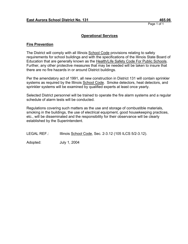### **Operational Services**

#### **Fire Prevention**

The District will comply with all Illinois School Code provisions relating to safety requirements for school buildings and with the specifications of the Illinois State Board of Education that are generally known as the Health/Life Safety Code For Public Schools. Further, any other protective measures that may be needed will be taken to insure that there are no fire hazards in or around District buildings.

Per the amendatory act of 1991, all new construction in District 131 will contain sprinkler systems as required by the Illinois School Code. Smoke detectors, heat detectors, and sprinkler systems will be examined by qualified experts at least once yearly.

Selected District personnel will be trained to operate the fire alarm systems and a regular schedule of alarm tests will be conducted.

Regulations covering such matters as the use and storage of combustible materials, smoking in the buildings, the use of electrical equipment, good housekeeping practices, etc., will be disseminated and the responsibility for their observance will be clearly established by the Superintendent.

| <b>LEGAL REF.:</b> | Illinois School Code, Sec. 2-3.12 (105 ILCS 5/2-3.12). |  |
|--------------------|--------------------------------------------------------|--|
|--------------------|--------------------------------------------------------|--|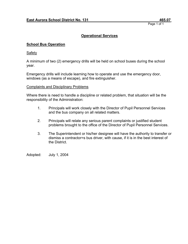## **Operational Services**

### **School Bus Operation**

Safety

A minimum of two (2) emergency drills will be held on school buses during the school year.

Emergency drills will include learning how to operate and use the emergency door, windows (as a means of escape), and fire extinguisher.

#### Complaints and Disciplinary Problems

Where there is need to handle a discipline or related problem, that situation will be the responsibility of the Administration:

- 1. Principals will work closely with the Director of Pupil Personnel Services and the bus company on all related matters.
- 2. Principals will relate any serious parent complaints or justified student problems brought to the office of the Director of Pupil Personnel Services.
- 3. The Superintendent or his/her designee will have the authority to transfer or dismiss a contractor=s bus driver, with cause, if it is in the best interest of the District.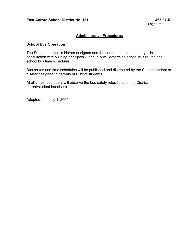### **Administrative Procedures**

### **School Bus Operation**

The Superintendent or his/her designee and the contracted bus company -- in consultation with building principals -- annually will determine school bus routes and school bus time schedules.

Bus routes and time schedules will be published and distributed by the Superintendent or his/her designee to parents of District students.

At all times, bus riders will observe the bus safety rules listed in the District parent/student handbook.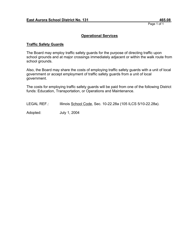### **Operational Services**

### **Traffic Safety Guards**

The Board may employ traffic safety guards for the purpose of directing traffic upon school grounds and at major crossings immediately adjacent or within the walk route from school grounds.

Also, the Board may share the costs of employing traffic safety guards with a unit of local government or accept employment of traffic safety guards from a unit of local government.

The costs for employing traffic safety guards will be paid from one of the following District funds: Education, Transportation, or Operations and Maintenance.

LEGAL REF.: Illinois School Code, Sec. 10-22.28a (105 ILCS 5/10-22.28a).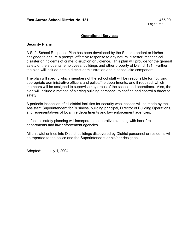### **Operational Services**

#### **Security Plans**

A Safe School Response Plan has been developed by the Superintendent or his/her designee to ensure a prompt, effective response to any natural disaster, mechanical disaster or incidents of crime, disruption or violence. This plan will provide for the general safety of the students, employees, buildings and other property of District 131. Further, the plan will include both a district-administration and a school-site component.

The plan will specify which members of the school staff will be responsible for notifying appropriate administrative officers and police/fire departments, and if required, which members will be assigned to supervise key areas of the school and operations. Also, the plan will include a method of alerting building personnel to confine and control a threat to safety.

A periodic inspection of all district facilities for security weaknesses will be made by the Assistant Superintendent for Business, building principal, Director of Building Operations, and representatives of local fire departments and law enforcement agencies.

In fact, all safety planning will incorporate cooperative planning with local fire departments and law enforcement agencies.

All unlawful entries into District buildings discovered by District personnel or residents will be reported to the police and the Superintendent or his/her designee.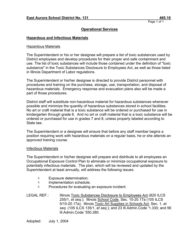## **Operational Services**

### **Hazardous and Infectious Materials**

### Hazardous Materials

The Superintendent or his or her designee will prepare a list of toxic substances used by District employees and develop procedures for their proper and safe containment and use. The list of toxic substances will include those contained under the definition of "toxic substance" in the Toxic Substances Disclosure to Employees Act, as well as those listed in Illinois Department of Labor regulations.

The Superintendent or his/her designee is directed to provide District personnel with procedures and training on the purchase, storage, use, transportation, and disposal of hazardous materials. Emergency response and evacuation plans also will be made a part of those procedures.

District staff will substitute non-hazardous material for hazardous substances whenever possible and minimize the quantity of hazardous substances stored in school facilities. No art or craft material that is a toxic substance will be ordered or purchased for use in kindergarten through grade 6. And no art or craft material that is a toxic substance will be ordered or purchased for use in grades 7 and 8, unless properly labeled according to State law.

The Superintendent or a designee will ensure that before any staff member begins a position requiring work with hazardous materials on a regular basis, he or she attends an approved training course.

#### Infectious Materials

The Superintendent or his/her designee will prepare and distribute to all employees an Occupational Exposure Control Plan to eliminate or minimize occupational exposure to potentially infectious materials. The plan, which will be reviewed and updated by the Superintendent at least annually, will address the following issues:

- $\Diamond$  Exposure determination;
- $\Diamond$  Implementation schedule;
- $\Diamond$  Procedures for evaluating an exposure incident.

LEGAL REF.: Illinois Toxic Substances Disclosure to Employees Act (820 ILCS 255/1, *et seq.*); Illinois School Code, Sec. 10-20.17a (105 ILCS 5/10-20.17a); Illinois Toxic Art Supplies in Schools Act, Sec. 1, *et seq*. (105 ILCS 135/1, *et seq*.); and 23 Ill.Admin.Code '1.330; and 56 Ill.Admin.Code '350.280.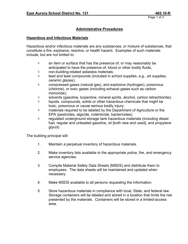## **Administrative Procedures**

#### **Hazardous and Infectious Materials**

Hazardous and/or infectious materials are any substances, or mixture of substances, that constitute a fire, explosive, reactive, or health hazard. Examples of such materials include, but are not limited to:

- $\Diamond$  an item or surface that has the presence of, or may reasonably be anticipated to have the presence of, blood or other bodily fluids;
- $\Diamond$  non-building-related asbestos materials;
- $\Diamond$  lead and lead compounds (included in school supplies, e.g., art supplies, ceramic glazes);
- $\Diamond$  compressed gases (natural gas), and explosive (hydrogen), poisonous (chlorine), or toxic gases (including exhaust gases such as carbon monoxide);
- $\Diamond$  solvents (gasoline, turpentine, mineral spirits, alcohol, carbon tetrachloride);
- $\Diamond$  liquids, compounds, solids or other hazardous chemicals that might be toxic, poisonous or cause serious bodily injury;
- $\Diamond$  materials required to be labeled by the Department of Agriculture or the EPA (pesticides, algicide, rodenticide, bactericides);
- $\Diamond$  regulated underground storage tank hazardous materials (including diesel fuel, regular and unleaded gasoline, oil [both new and used], and propylene glycol).

The building principal will:

- 1. Maintain a perpetual inventory of hazardous materials.
- 2. Make inventory lists available to the appropriate police, fire, and emergency service agencies.
- 3. Compile Material Safety Data Sheets (MSDS) and distribute them to employees. The data sheets will be maintained and updated when necessary.
- 4. Make MSDS available to all persons requesting the information.
- 5. Store hazardous materials in compliance with local, State, and federal law. Storage containers will be labeled and stored in a location that limits the risk presented by the materials. Containers will be stored in a limited-access area.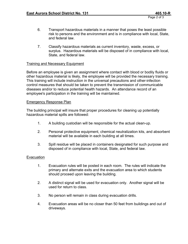- 6. Transport hazardous materials in a manner that poses the least possible risk to persons and the environment and is in compliance with local, State, and federal law.
- 7. Classify hazardous materials as current inventory, waste, excess, or surplus. Hazardous materials will be disposed of in compliance with local, State, and federal law.

### Training and Necessary Equipment

Before an employee is given an assignment where contact with blood or bodily fluids or other hazardous material is likely, the employee will be provided the necessary training. This training will include instruction in the universal precautions and other-infection control measures that should be taken to prevent the transmission of communicable diseases and/or to reduce potential health hazards. An attendance record of an employee's participation in the training will be maintained.

#### Emergency Response Plan

The building principal will insure that proper procedures for cleaning up potentially hazardous material spills are followed:

- 1. A building custodian will be responsible for the actual clean-up.
- 2. Personal protective equipment, chemical neutralization kits, and absorbent material will be available in each building at all times.
- 3. Spill residue will be placed in containers designated for such purpose and disposed of in compliance with local, State, and federal law.

#### Evacuation

- 1. Evacuation rules will be posted in each room. The rules will indicate the primary and alternate exits and the evacuation area to which students should proceed upon leaving the building.
- 2. A distinct signal will be used for evacuation only. Another signal will be used for return to class.
- 3. No person will remain in class during evacuation drills.
- 4. Evacuation areas will be no closer than 50 feet from buildings and out of driveways.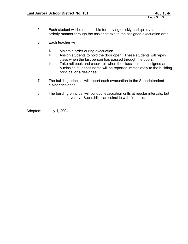- 5. Each student will be responsible for moving quickly and quietly, and in an orderly manner through the assigned exit to the assigned evacuation area.
- 6. Each teacher will:
	- $\Diamond$  Maintain order during evacuation.<br> $\Diamond$  Assign students to hold the door o
	- Assign students to hold the door open. These students will rejoin class when the last person has passed through the doors.
	- $\bullet$  Take roll book and check roll when the class is in the assigned area. A missing student's name will be reported immediately to the building principal or a designee.
- 7. The building principal will report each evacuation to the Superintendent his/her designee.
- 8. The building principal will conduct evacuation drills at regular intervals, but at least once yearly. Such drills can coincide with fire drills.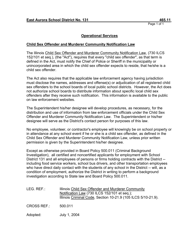## **Operational Services**

## **Child Sex Offender and Murderer Community Notification Law**

The Illinois Child Sex Offender and Murderer Community Notification Law, (730 ILCS 152/101 et seq.), (the "Act"), requires that every "child sex offender", as that term is defined in the Act, must notify the Chief of Police or Sheriff in the municipality or unincorporated area in which the child sex offender expects to reside, that he/she is a child sex offender.

The Act also requires that the applicable law enforcement agency having jurisdiction must disclose the names, addresses and offense(s) or adjudication of all registered child sex offenders to the school boards of local public school districts. However, the Act does not authorize school boards to distribute information about specific local child sex offenders after they receive such notification. This information is available to the public on law enforcement websites.

The Superintendent his/her designee will develop procedures, as necessary, for the distribution and use of information from law enforcement officials under the Child Sex Offender and Murderer Community Notification Law. The Superintendent or his/her designee will serve as the District's contact person for purposes of this law.

No employee, volunteer, or contractor's employee will knowingly be on school property or in attendance at any school event if he or she is a child sex offender, as defined in the Child Sex Offender and Murderer Community Notification Law, unless prior written permission is given by the Superintendent his/her designee.

Except as otherwise provided in Board Policy 500.011 (Criminal Background Investigation), all certified and noncertified applicants for employment with School District 131 and all employees of persons or firms holding contracts with the District - including food service workers, school bus drivers, and other transportation employees who have direct daily contact with the students of any school in the District -- will, as a condition of employment, authorize the District in writing to perform a background investigation according to State law and Board Policy 500.011.

| LEG. REF.:         | Illinois Child Sex Offender and Murderer Community<br>Notification Law (730 ILCS 152/101 et seq.);<br>Illinois Criminal Code, Section 10-21.9 (105 ILCS 5/10-21.9). |
|--------------------|---------------------------------------------------------------------------------------------------------------------------------------------------------------------|
| <b>CROSS REF.:</b> | 500.011                                                                                                                                                             |
| Adopted:           | July 1, 2004                                                                                                                                                        |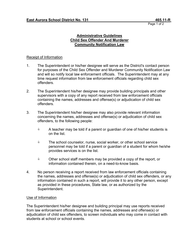## **Administrative Guidelines Child Sex Offender And Murderer Community Notification Law**

## Receipt of Information

- 1. The Superintendent or his/her designee will serve as the District's contact person for purposes of the Child Sex Offender and Murderer Community Notification Law and will so notify local law enforcement officials. The Superintendent may at any time request information from law enforcement officials regarding child sex offenders.
- 2. The Superintendent his/her designee may provide building principals and other supervisors with a copy of any report received from law enforcement officials containing the names, addresses and offense(s) or adjudication of child sex offenders.
- 3. The Superintendent his/her designee may also provide relevant information concerning the names, addresses and offense(s) or adjudication of child sex offenders, to the following people:
	- $\Diamond$  A teacher may be told if a parent or guardian of one of his/her students is on the list.
	- $\Diamond$  The school counselor, nurse, social worker, or other school service personnel may be told if a parent or guardian of a student for whom he/she provides services is on the list.
	- $\Diamond$  Other school staff members may be provided a copy of the report, or information contained therein, on a need-to-know basis.
- 4. No person receiving a report received from law enforcement officials containing the names, addresses and offense(s) or adjudication of child sex offenders, or any information contained in such a report, will provide it to any other person, except as provided in these procedures, State law, or as authorized by the Superintendent.

### Use of Information

The Superintendent his/her designee and building principal may use reports received from law enforcement officials containing the names, addresses and offense(s) or adjudication of child sex offenders, to screen individuals who may come in contact with students at school or school events.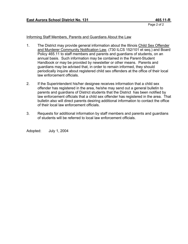Page 2 of 2

## Informing Staff Members, Parents and Guardians About the Law

- 1. The District may provide general information about the Illinois Child Sex Offender and Murderer Community Notification Law, (730 ILCS 152/101 et seq.) and Board Policy 465.11 to staff members and parents and guardians of students, on an annual basis. Such information may be contained in the Parent-Student Handbook or may be provided by newsletter or other means. Parents and guardians may be advised that, in order to remain informed, they should periodically inquire about registered child sex offenders at the office of their local law enforcement officials.
- 2. If the Superintendent his/her designee receives information that a child sex offender has registered in the area, he/she may send out a general bulletin to parents and guardians of District students that the District has been notified by law enforcement officials that a child sex offender has registered in the area. That bulletin also will direct parents desiring additional information to contact the office of their local law enforcement officials.
- 3. Requests for additional information by staff members and parents and guardians of students will be referred to local law enforcement officials.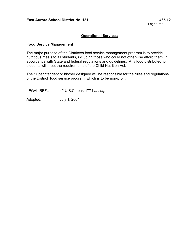## **Operational Services**

## **Food Service Management**

The major purpose of the District=s food service management program is to provide nutritious meals to all students, including those who could not otherwise afford them, in accordance with State and federal regulations and guidelines. Any food distributed to students will meet the requirements of the Child Nutrition Act.

The Superintendent or his/her designee will be responsible for the rules and regulations of the District food service program, which is to be non-profit.

LEGAL REF.: 42 U.S.C., par. 1771 *at seq.*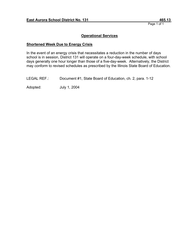## **Operational Services**

#### **Shortened Week Due to Energy Crisis**

In the event of an energy crisis that necessitates a reduction in the number of days school is in session, District 131 will operate on a four-day-week schedule, with school days generally one hour longer than those of a five-day-week. Alternatively, the District may conform to revised schedules as prescribed by the Illinois State Board of Education.

LEGAL REF.: Document #1, State Board of Education, ch. 2, para. 1-12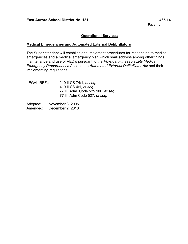## **Operational Services**

## **Medical Emergencies and Automated External Defibrillators**

The Superintendent will establish and implement procedures for responding to medical emergencies and a medical emergency plan which shall address among other things, maintenance and use of AED's pursuant to the *Physical Fitness Facility Medical Emergency Preparedness Act* and the *Automated External Defibrillator Act* and their implementing regulations.

| LEGAL REF.: | 210 ILCS 74/1, et seq.             |
|-------------|------------------------------------|
|             | 410 ILCS 4/1, et seq.              |
|             | 77 III. Adm. Code 525.100, et seq. |
|             | 77 III. Adm Code 527, et seg.      |

| Adopted: | November 3, 2005 |
|----------|------------------|
| Amended: | December 2, 2013 |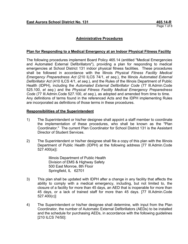## **Administrative Procedures**

#### **Plan for Responding to a Medical Emergency at an Indoor Physical Fitness Facility**

The following procedures implement Board Policy 465.14 (entitled "Medical Emergencies and Automated External Defibrillators"), providing a plan for responding to medical emergencies at School District 131 indoor physical fitness facilities. These procedures shall be followed in accordance with the Illinois *Physical Fitness Facility Medical Emergency Preparedness Act* (210 ILCS 74/1, *et seq.*), the Illinois *Automated External Defibrillator Act* (410 ILCS 4/1, *et seq.*), and the Rules of the Illinois Department of Public Health (IDPH), including the *Automated External Defibrillator Code* (77 Ill.Admin.Code 525.100, *et seq.*) and the *Physical Fitness Facility Medical Emergency Preparedness Code* (77 Ill.Admin.Code 527.100, *et seq.*), as adopted and amended from time to time. Any definitions of terms found in the referenced Acts and the IDPH implementing Rules are incorporated as definitions of those terms in these procedures.

#### **Responsibilities of the Superintendent**

- 1) The Superintendent or his/her designee shall appoint a staff member to coordinate the implementation of these procedures, who shall be known as the "Plan Coordinator." The current Plan Coordinator for School District 131 is the Assistant Director of Student Services.
- 2) The Superintendent or his/her designee shall file a copy of this plan with the Illinois Department of Public Health (IDPH) at the following address [77 Ill.Admin.Code 527.400(a)]:

Illinois Department of Public Health Division of EMS & Highway Safety 500 East Monroe, 8th Floor Springfield, IL 62701

- 3) This plan shall be updated with IDPH after a change in any facility that affects the ability to comply with a medical emergency, including, but not limited to, the closure of a facility for more than 45 days, an AED that is inoperable for more than 45 days, or a lack of trained staff for more than 45 days. [77 Ill.Admin.Code 527.400(c)]
- 4) The Superintendent or his/her designee shall determine, with input from the Plan Coordinator, the number of Automatic External Defibrillators (AEDs) to be installed and the schedule for purchasing AEDs, in accordance with the following guidelines [210 ILCS 74/50]: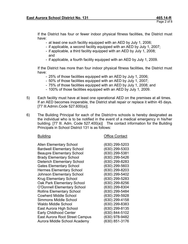If the District has four or fewer indoor physical fitness facilities, the District must have:

- at least one such facility equipped with an AED by July 1, 2006;
- if applicable, a second facility equipped with an AED by July 1, 2007;
- if applicable, a third facility equipped with an AED by July 1, 2008; and
- if applicable, a fourth facility equipped with an AED by July 1, 2009.

If the District has more than four indoor physical fitness facilities, the District must have:

- 25% of those facilities equipped with an AED by July 1, 2006;
- 50% of those facilities equipped with an AED by July 1, 2007;
- 75% of those facilities equipped with an AED by July 1, 2008; and
- 100% of those facilities equipped with an AED by July 1, 2009.
- 5) Each facility must have at least one operational AED on the premises at all times. If an AED becomes inoperable, the District shall repair or replace it within 45 days. [77 Ill.Admin.Code 527.600(a)].
- 6) The Building Principal for each of the District=s schools is hereby designated as the individual who is to be notified in the event of a medical emergency in his/her building. [77 Ill. Adm. Code 527.400(a)] The contact information for the Building Principals in School District 131 is as follows:

**Office Contact** 

 Allen Elementary School (630) 299-5203 Bardwell Elementary School (630) 299-5303 Beaupre Elementary School (630) 299-5381 Brady Elementary School (630) 299-5426 Dieterich Elementary School (630) 299-8283 Gates Elementary School (630) 299-5603 Hermes Elementary School (630) 299-8203 Johnson Elementary School (630) 299-5402 Krug Elementary School (630) 299-5283 Oak Park Elementary School (630) 299-8256 O'Donnell Elementary School (630) 299-8304 Rollins Elementary School (630) 299-5484 Cowherd Middle School (630) 299-5928 Simmons Middle School (630) 299-4158 Waldo Middle School (630) 299-8383 East Aurora High School (630) 299-8135 Early Childhood Center (630) 844-5102 East Aurora Root Street Campus (630) 978-9482 Aurora Middle School Academy (630) 851-3176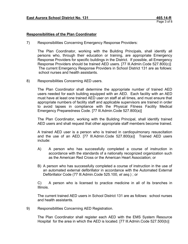#### **Responsibilities of the Plan Coordinator**

7) Responsibilities Concerning Emergency Response Providers:

The Plan Coordinator, working with the Building Principals, shall identify all persons who, through their education or training, are appropriate Emergency Response Providers for specific buildings in the District. If possible, all Emergency Response Providers should be trained AED users. [77 Ill.Admin.Code 527.800(c)] The current Emergency Response Providers in School District 131 are as follows: school nurses and health assistants.

8) Responsibilities Concerning AED users.

The Plan Coordinator shall determine the appropriate number of trained AED users needed for each building equipped with an AED. Each facility with an AED must have at least one trained AED user on staff at all times, and must ensure that appropriate numbers of facility staff and applicable supervisors are trained in order to avoid lapses in compliance with the Physical Fitness Facility Medical Emergency Preparedness Code. [77 Ill.Admin.Code 527.800(a)]

The Plan Coordinator, working with the Building Principal, shall identify trained AED users and shall request that other appropriate staff members become trained.

A trained AED user is a person who is trained in cardiopulmonary resuscitation and the use of an AED. [77 Ill.Admin.Code 527.800(a)] Trained AED users include:

- A) A person who has successfully completed a course of instruction in accordance with the standards of a nationally recognized organization such as the American Red Cross or the American Heart Association; or
- B) A person who has successfully completed a course of instruction in the use of an automated external defibrillator in accordance with the Automated External Defibrillator Code (77 Ill.Admin.Code 525.100, *et seq.*) ; or

C) A person who is licensed to practice medicine in all of its branches in Illinois.

The current trained AED users in School District 131 are as follows: school nurses and health assistants.

9) Responsibilities Concerning AED Registration.

The Plan Coordinator shall register each AED with the EMS System Resource Hospital for the area in which the AED is located. [77 Ill.Admin.Code 527.500(b)]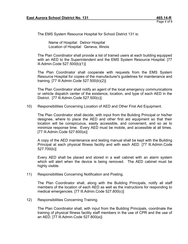The EMS System Resource Hospital for School District 131 is:

Name of Hospital: Delnor Hospital Location of Hospital: Geneva, Illinois

The Plan Coordinator shall provide a list of trained users at each building equipped with an AED to the Superintendent and the EMS System Resource Hospital. [77 Ill.Admin.Code 527.500(b)(1)]

The Plan Coordinator shall cooperate with requests from the EMS System Resource Hospital for copies of the manufacturer's guidelines for maintenance and training. [77 Ill.Admin.Code 527.500(b)(2)]

The Plan Coordinator shall notify an agent of the local emergency communications or vehicle dispatch center of the existence, location, and type of each AED in the District. [77 Ill.Admin.Code 527.500(c)].

10) Responsibilities Concerning Location of AED and Other First Aid Equipment.

The Plan Coordinator shall decide, with input from the Building Principal or his/her designee, where to place the AED and other first aid equipment so that their location will be conspicuous, easily accessible, and convenient, and so as to minimize response time. Every AED must be mobile, and accessible at all times. [77 Ill.Admin.Code 527.600(a)]

A copy of the AED maintenance and testing manual shall be kept with the Building Principal at each physical fitness facility and with each AED. [77 Ill.Admin.Code 527.700(b)]

Every AED shall be placed and stored in a wall cabinet with an alarm system which will alert when the device is being removed. The AED cabinet must be highly visible.

11) Responsibilities Concerning Notification and Posting.

The Plan Coordinator shall, along with the Building Principals, notify all staff members of the location of each AED as well as the instructions for responding to medical emergencies. [77 Ill.Admin.Code 527.800(c)]

12) Responsibilities Concerning Training.

The Plan Coordinator shall, with input from the Building Principals, coordinate the training of physical fitness facility staff members in the use of CPR and the use of an AED. [77 Ill.Admin.Code 527.800(a)]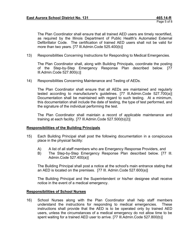The Plan Coordinator shall ensure that all trained AED users are timely recertified, as required by the Illinois Department of Public Health's Automated External Defibrillator Code. The certification of trained AED users shall not be valid for more than two years. [77 Ill.Admin.Code 525.400(b)]

13) Responsibilities Concerning Instructions for Responding to Medical Emergencies.

The Plan Coordinator shall, along with Building Principals, coordinate the posting of the Step-by-Step Emergency Response Plan described below. [77 Ill.Admin.Code 527.800(c)]

14) Responsibilities Concerning Maintenance and Testing of AEDs.

The Plan Coordinator shall ensure that all AEDs are maintained and regularly tested according to manufacturer's guidelines. [77 Ill.Admin.Code 527.700(a)] Documentation shall be maintained with regard to such testing. At a minimum, this documentation shall include the date of testing, the type of test performed, and the signature of the individual performing the test.

The Plan Coordinator shall maintain a record of applicable maintenance and training at each facility. [77 Ill.Admin.Code 527.500(b)(2)]

## **Responsibilities of the Building Principals**

- 15) Each Building Principal shall post the following documentation in a conspicuous place in the physical facility:
	- A) A list of all staff members who are Emergency Response Providers, and
	- B) The Step-by-Step Emergency Response Plan described below. [77 Ill. Admin.Code 527.400(a)]

The Building Principal shall post a notice at the school's main entrance stating that an AED is located on the premises. [77 Ill. Admin.Code 527.600(a)]

The Building Principal and the Superintendent or his/her designee shall receive notice in the event of a medical emergency.

## **Responsibilities of School Nurses**

16) School Nurses along with the Plan Coordinator shall help staff members understand the instructions for responding to medical emergencies. These instructions shall provide that the AED is to be operated only by trained AED users, unless the circumstances of a medical emergency do not allow time to be spent waiting for a trained AED user to arrive. [77 Ill.Admin.Code 527.800(b)]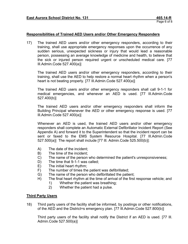## **Responsibilities of Trained AED Users and/or Other Emergency Responders**

17) The trained AED users and/or other emergency responders, according to their training, shall use appropriate emergency responses upon the occurrence of any sudden serious, unexpected sickness or injury that would lead a reasonable person, possessing an average knowledge of medicine and health, to believe that the sick or injured person required urgent or unscheduled medical care. [77 Ill.Admin.Code 527.400(a)]

The trained AED users and/or other emergency responders, according to their training, shall use the AED to help restore a normal heart rhythm when a person's heart is not beating properly. [77 III.Admin.Code 527.400(a)]

The trained AED users and/or other emergency responders shall call 9-1-1 for medical emergencies, and whenever an AED is used. [77 Ill.Admin.Code 527.400(b)]

The trained AED users and/or other emergency responders shall inform the Building Principal whenever the AED or other emergency response is used. [77 Ill.Admin.Code 527.400(a)]

Whenever an AED is used, the trained AED users and/or other emergency responders shall complete an Automatic External Defibrillator Incident Report (See Appendix A) and forward it to the Superintendent so that the incident report can be sent or faxed to the EMS System Resource Hospital. [77 Ill.Admin.Code 527.500(a)] The report shall include [77 Ill. Admin.Code 525.500(b)]:

- A) The date of the incident;
- B) The time of the incident;
- C) The name of the person who determined the patient's unresponsiveness;
- D) The time that 9-1-1 was called;
- E) The initial heart rhythm;
- F) The number of times the patient was defibrillated;
- G) The name of the person who defibrillated the patient;
- H) The final heart rhythm at the time of arrival of the first response vehicle; and
	- 1) Whether the patient was breathing;
	- 2) Whether the patient had a pulse.

## **Third Party Users**

18) Third party users of the facility shall be informed, by postings or other notifications, of the AED and the District=s emergency plan. [77 Ill.Admin.Code 527.800(b)]

Third party users of the facility shall notify the District if an AED is used. [77 Ill. Admin.Code 527.500(a)]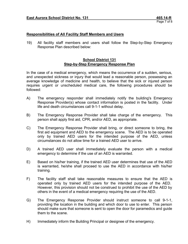## **Responsibilities of All Facility Staff Members and Users**

19) All facility staff members and users shall follow the Step-by-Step Emergency Response Plan described below:

#### **School District 131 Step-by-Step Emergency Response Plan**

In the case of a medical emergency, which means the occurrence of a sudden, serious, and unexpected sickness or injury that would lead a reasonable person, possessing an average knowledge of medicine and health, to believe that the sick or injured person requires urgent or unscheduled medical care, the following procedures should be followed:

- A) The emergency responder shall immediately notify the building's Emergency Response Provider(s) whose contact information is posted in the facility. Under life and death circumstances call 9-1-1 without delay.
- B) The Emergency Response Provider shall take charge of the emergency. This person shall apply first aid, CPR, and/or AED, as appropriate.
- C) The Emergency Response Provider shall bring, or direct someone to bring, the first aid equipment and AED to the emergency scene. The AED is to be operated only by trained AED users for the intended purpose of the AED, unless circumstances do not allow time for a trained AED user to arrive.
- D) A trained AED user shall immediately evaluate the person with a medical emergency to determine if the use of an AED is warranted.
- E) Based on his/her training, if the trained AED user determines that use of the AED is warranted, he/she shall proceed to use the AED in accordance with his/her training.
- F) The facility staff shall take reasonable measures to ensure that the AED is operated only by trained AED users for the intended purpose of the AED. However, this provision should not be construed to prohibit the use of the AED by others in the event of a medical emergency requiring the use of the AED.
- G) The Emergency Response Provider should instruct someone to call 9-1-1, providing the location in the building and which door to use to enter. This person should make sure that someone is sent to open the door for paramedics and guide them to the scene.
- H) Immediately inform the Building Principal or designee of the emergency.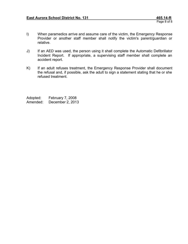- I) When paramedics arrive and assume care of the victim, the Emergency Response Provider or another staff member shall notify the victim's parent/guardian or relative.
- J) If an AED was used, the person using it shall complete the Automatic Defibrillator Incident Report. If appropriate, a supervising staff member shall complete an accident report.
- K) If an adult refuses treatment, the Emergency Response Provider shall document the refusal and, if possible, ask the adult to sign a statement stating that he or she refused treatment.

Adopted: February 7, 2008 Amended: December 2, 2013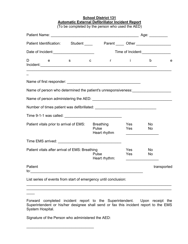## **School District 131 Automatic External Defibrillator Incident Report**

(To be completed by the person who used the AED)

| Patient Identification: Student _____ Parent ____ Other _________________        |             |                           |                   |                        |             |
|----------------------------------------------------------------------------------|-------------|---------------------------|-------------------|------------------------|-------------|
| Date of Incident:<br><u> </u>                                                    |             |                           |                   | Time of Incident:      |             |
| D<br>e<br>$\mathbf{s}$                                                           | $\mathbf C$ |                           | $r \rightarrow i$ | $\mathsf{b}$           | e           |
|                                                                                  |             |                           |                   |                        |             |
|                                                                                  |             |                           |                   |                        |             |
| Name of person who determined the patient's unresponsiveness: __________________ |             |                           |                   |                        |             |
|                                                                                  |             |                           |                   |                        |             |
|                                                                                  |             |                           |                   |                        |             |
| Time 9-1-1 was called: Time 9-1-1 was called:                                    |             |                           |                   |                        |             |
| Patient vitals prior to arrival of EMS:                                          | Pulse       | Breathing<br>Heart rhythm | Yes<br>Yes        | <b>No</b><br><b>No</b> |             |
|                                                                                  |             |                           |                   |                        |             |
| Patient vitals after arrival of EMS: Breathing                                   | Pulse       | Heart rhythm:             | Yes<br>Yes        | <b>No</b><br>No.       |             |
| Patient<br>$\frac{1}{2}$                                                         |             |                           |                   |                        | transported |

List series of events from start of emergency until conclusion:

Forward completed incident report to the Superintendent. Upon receipt the Superintendent or his/her designee shall send or fax this incident report to the EMS System Hospital.

\_\_\_\_\_\_\_\_\_\_\_\_\_\_\_\_\_\_\_\_\_\_\_\_\_\_\_\_\_\_\_\_\_\_\_\_\_\_\_\_\_\_\_\_\_\_\_\_\_\_\_\_\_\_\_\_\_\_\_\_\_\_\_\_\_\_\_\_\_\_\_  $\_$ 

Signature of the Person who administered the AED:

\_\_\_\_\_\_\_\_\_\_\_\_\_\_\_\_\_\_\_\_\_\_\_\_\_\_\_\_\_\_\_\_\_

 $\overline{\phantom{a}}$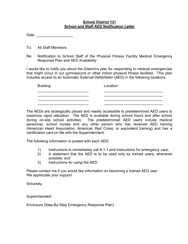## **School District 131 School and Staff AED Notification Letter**

Date: \_\_\_\_\_\_\_\_\_\_\_\_\_\_\_\_\_\_

To: All Staff Members

Re: Notification to School Staff of the Physical Fitness Facility Medical Emergency Response Plan and AED Availability

I would like to notify you about the District=s plan for responding to medical emergencies that might occur in our gymnasiums or other indoor physical fitness facilities. This plan includes access to an Automatic External Defibrillator (AED) in the following locations:

| <b>Building</b> | Location |
|-----------------|----------|
|                 |          |
|                 |          |
|                 |          |

The AEDs are strategically placed and readily accessible to predetermined AED users to maximize rapid utilization. The AED is available during school hours and after school during on-site school activities. The predetermined AED users include medical personnel, school nurses and any other person who has received AED training (American Heart Association, American Red Cross, or equivalent training) and has a certification card on file with the Superintendent.

The following information is posted with each AED:

- 1) Instructions to immediately call 9-1-1 and instructions for emergency care;
- 2) A statement that the AED is to be used only by trained users, whenever possible; and
- 3) Instructions for using the AED.

Please contact me if you would like information on becoming a trained AED user. We appreciate your support.

Sincerely,

**Superintendent** 

Enclosure (Step-By-Step Emergency Response Plan)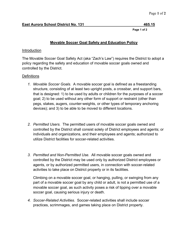## **Movable Soccer Goal Safety and Education Policy**

## Introduction

The Movable Soccer Goal Safety Act (aka "Zach's Law") requires the District to adopt a policy regarding the safety and education of movable soccer goals owned and controlled by the District.

## **Definitions**

- *1. Movable Soccer Goals.* A movable soccer goal is defined as a freestanding structure, consisting of at least two upright posts, a crossbar, and support bars, that is designed: 1) to be used by adults or children for the purposes of a soccer goal; 2) to be used without any other form of support or restraint (other than pegs, stakes, augers, counter-weights, or other types of temporary anchoring devices); and 3) to be able to be moved to different locations.
- *2. Permitted Users.* The permitted users of movable soccer goals owned and controlled by the District shall consist solely of District employees and agents; or individuals and organizations, and their employees and agents; authorized to utilize District facilities for soccer-related activities.
- *3. Permitted and Non-Permitted Use.* All movable soccer goals owned and controlled by the District may be used only by authorized District employees or agents, or by authorized permitted users, in connection with soccer-related activities to take place on District property or in its facilities.

Climbing on a movable soccer goal, or hanging, pulling, or swinging from any part of a movable soccer goal by any child or adult, is not a permitted use of a movable soccer goal, as such activity poses a risk of tipping over a movable soccer goal, causing serious injury or death.

*4. Soccer-Related Activities*. Soccer-related activities shall include soccer practices, scrimmages, and games taking place on District property.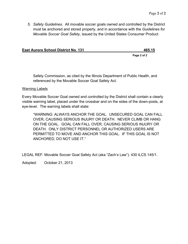*5. Safety Guidelines.* All movable soccer goals owned and controlled by the District must be anchored and stored properly, and in accordance with the *Guidelines for Movable Soccer Goal Safety*, issued by the United States Consumer Product

| <b>East Aurora School District No. 131</b> | 465.15 |
|--------------------------------------------|--------|
|                                            |        |

**Page 2 of 2**

Safety Commission, as cited by the Illinois Department of Public Health, and referenced by the Movable Soccer Goal Safety Act.

## Warning Labels

Every Movable Soccer Goal owned and controlled by the District shall contain a clearly visible warning label, placed under the crossbar and on the sides of the down-posts, at eye-level. The warning labels shall state:

"WARNING: ALWAYS ANCHOR THE GOAL. UNSECURED GOAL CAN FALL OVER, CAUSING SERIOUS INJURY OR DEATH. NEVER CLIMB OR HANG ON THE GOAL. GOAL CAN FALL OVER, CAUSING SERIOUS INJURY OR DEATH. ONLY DISTRICT PERSONNEL OR AUTHORIZED USERS ARE PERMITTED TO MOVE AND ANCHOR THIS GOAL. IF THIS GOAL IS NOT ANCHORED, DO NOT USE IT."

LEGAL REF: Movable Soccer Goal Safety Act (aka "Zach's Law"). 430 ILCS 145/1.

Adopted: October 21, 2013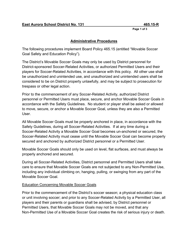## **Administrative Procedures**

The following procedures implement Board Policy 465.15 (entitled "Movable Soccer Goal Safety and Education Policy").

The District's Movable Soccer Goals may only be used by District personnel for District-sponsored Soccer-Related Activities, or authorized Permitted Users and their players for Soccer-Related Activities, in accordance with this policy. All other use shall be unauthorized and unintended use, and unauthorized and unintended users shall be considered to be on District property unlawfully, and may be subject to prosecution for trespass or other legal action.

Prior to the commencement of any Soccer-Related Activity, authorized District personnel or Permitted Users must place, secure, and anchor Movable Soccer Goals in accordance with the Safety Guidelines. No student or player shall be asked or allowed to move, secure, or anchor a Movable Soccer Goal, unless they are also a Permitted User.

All Movable Soccer Goals must be properly anchored in place, in accordance with the Safety Guidelines, during all Soccer-Related Activities. If at any time during a Soccer-Related Activity a Movable Soccer Goal becomes un-anchored or secured, the Soccer-Related Activity must cease until the Movable Soccer Goal can become properly secured and anchored by authorized District personnel or a Permitted User.

Movable Soccer Goals should only be used on level, flat surfaces, and must always be properly anchored and secured.

During all Soccer-Related Activities, District personnel and Permitted Users shall take care to ensure that Movable Soccer Goals are not subjected to any Non-Permitted Use, including any individual climbing on, hanging, pulling, or swinging from any part of the Movable Soccer Goal.

## Education Concerning Movable Soccer Goals

Prior to the commencement of the District's soccer season; a physical education class or unit involving soccer; and prior to any Soccer-Related Activity by a Permitted User, all players and their parents or guardians shall be advised, by District personnel or Permitted Users, that Movable Soccer Goals may not be moved, and that any Non-Permitted Use of a Movable Soccer Goal creates the risk of serious injury or death.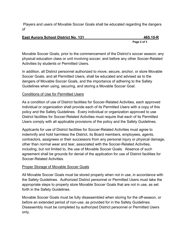Players and users of Movable Soccer Goals shall be educated regarding the dangers of

# **East Aurora School District No. 131 465.15-R**

**Page 2 of 3**

Movable Soccer Goals, prior to the commencement of the District's soccer season; any physical education class or unit involving soccer; and before any other Soccer-Related Activities by students or Permitted Users.

In addition, all District personnel authorized to move, secure, anchor, or store Movable Soccer Goals, and all Permitted Users, shall be educated and advised as to the dangers of Movable Soccer Goals, and the importance of adhering to the Safety Guidelines when using, securing, and storing a Movable Soccer Goal.

# Conditions of Use for Permitted Users

As a condition of use of District facilities for Soccer-Related Activities, each approved individual or organization shall provide each of its Permitted Users with a copy of this policy and the Safety Guidelines. Every individual or organization approved to use District facilities for Soccer-Related Activities must require that each of its Permitted Users comply with all applicable provisions of the policy and the Safety Guidelines.

Applicants for use of District facilities for Soccer-Related Activities must agree to indemnify and hold harmless the District, its Board members, employees, agents, contractors, assignees or their successors from any personal injury or physical damage, other than normal wear and tear, associated with the Soccer-Related Activities, including, but not limited to, the use of Movable Soccer Goals. Absence of such agreement shall be grounds for denial of the application for use of District facilities for Soccer-Related Activities.

# Proper Storage of Movable Soccer Goals

All Movable Soccer Goals must be stored properly when not in use, in accordance with the Safety Guidelines. Authorized District personnel or Permitted Users must take the appropriate steps to properly store Movable Soccer Goals that are not in use, as set forth in the Safety Guidelines.

Movable Soccer Goals must be fully disassembled when storing for the off-season, or before an extended period of non-use, as provided for in the Safety Guidelines. Disassembly must be completed by authorized District personnel or Permitted Users only.